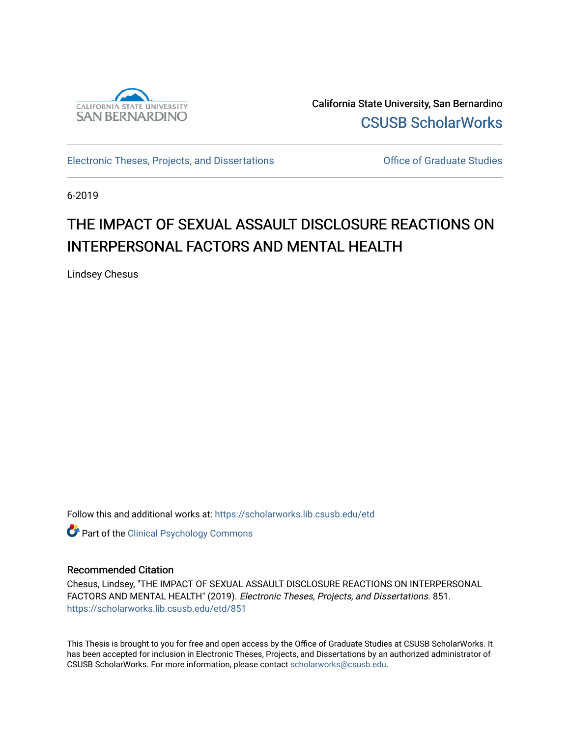

California State University, San Bernardino [CSUSB ScholarWorks](https://scholarworks.lib.csusb.edu/) 

[Electronic Theses, Projects, and Dissertations](https://scholarworks.lib.csusb.edu/etd) **Electronic Studies** Office of Graduate Studies

6-2019

# THE IMPACT OF SEXUAL ASSAULT DISCLOSURE REACTIONS ON INTERPERSONAL FACTORS AND MENTAL HEALTH

Lindsey Chesus

Follow this and additional works at: [https://scholarworks.lib.csusb.edu/etd](https://scholarworks.lib.csusb.edu/etd?utm_source=scholarworks.lib.csusb.edu%2Fetd%2F851&utm_medium=PDF&utm_campaign=PDFCoverPages) 

**Part of the Clinical Psychology Commons** 

# Recommended Citation

Chesus, Lindsey, "THE IMPACT OF SEXUAL ASSAULT DISCLOSURE REACTIONS ON INTERPERSONAL FACTORS AND MENTAL HEALTH" (2019). Electronic Theses, Projects, and Dissertations. 851. [https://scholarworks.lib.csusb.edu/etd/851](https://scholarworks.lib.csusb.edu/etd/851?utm_source=scholarworks.lib.csusb.edu%2Fetd%2F851&utm_medium=PDF&utm_campaign=PDFCoverPages) 

This Thesis is brought to you for free and open access by the Office of Graduate Studies at CSUSB ScholarWorks. It has been accepted for inclusion in Electronic Theses, Projects, and Dissertations by an authorized administrator of CSUSB ScholarWorks. For more information, please contact [scholarworks@csusb.edu](mailto:scholarworks@csusb.edu).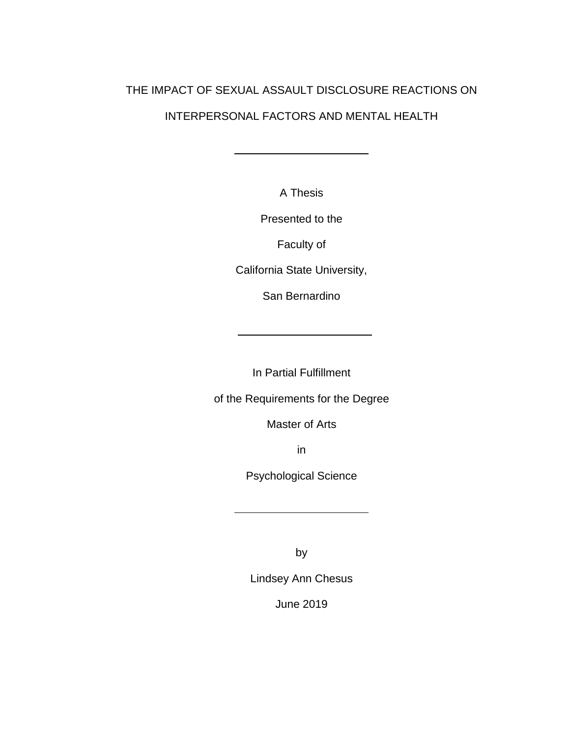# THE IMPACT OF SEXUAL ASSAULT DISCLOSURE REACTIONS ON INTERPERSONAL FACTORS AND MENTAL HEALTH

A Thesis

Presented to the

Faculty of

California State University,

San Bernardino

In Partial Fulfillment

of the Requirements for the Degree

Master of Arts

in

Psychological Science

by

Lindsey Ann Chesus

June 2019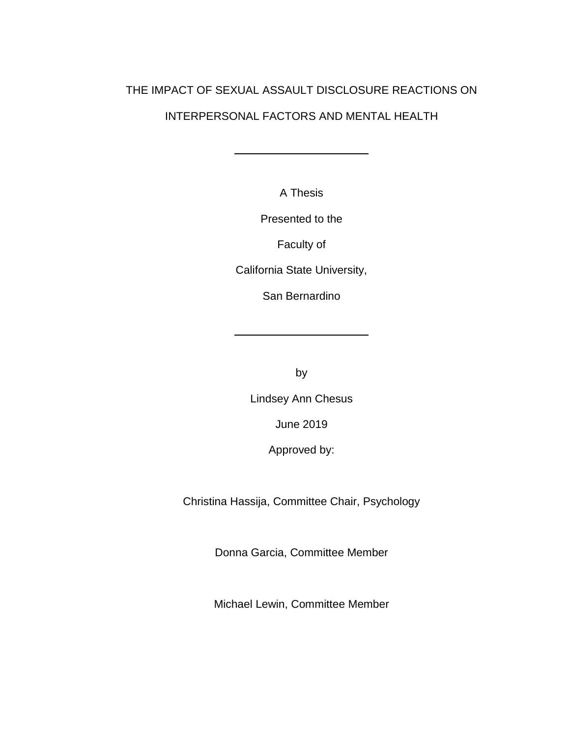# THE IMPACT OF SEXUAL ASSAULT DISCLOSURE REACTIONS ON INTERPERSONAL FACTORS AND MENTAL HEALTH

A Thesis

Presented to the

Faculty of

California State University,

San Bernardino

by

Lindsey Ann Chesus

June 2019

Approved by:

Christina Hassija, Committee Chair, Psychology

Donna Garcia, Committee Member

Michael Lewin, Committee Member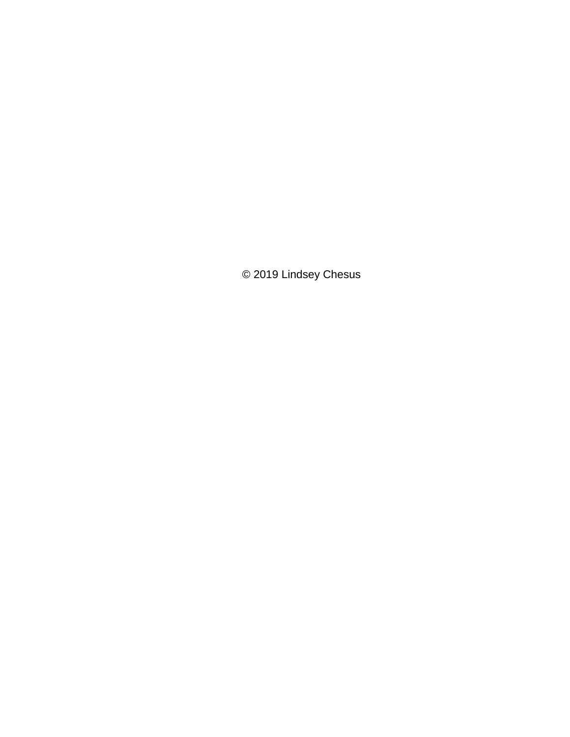© 2019 Lindsey Chesus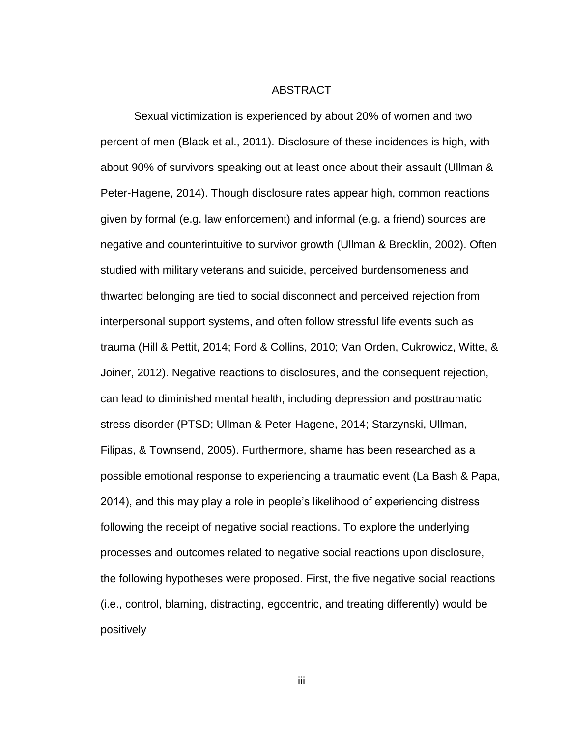#### ABSTRACT

<span id="page-4-0"></span>Sexual victimization is experienced by about 20% of women and two percent of men (Black et al., 2011). Disclosure of these incidences is high, with about 90% of survivors speaking out at least once about their assault (Ullman & Peter-Hagene, 2014). Though disclosure rates appear high, common reactions given by formal (e.g. law enforcement) and informal (e.g. a friend) sources are negative and counterintuitive to survivor growth (Ullman & Brecklin, 2002). Often studied with military veterans and suicide, perceived burdensomeness and thwarted belonging are tied to social disconnect and perceived rejection from interpersonal support systems, and often follow stressful life events such as trauma (Hill & Pettit, 2014; Ford & Collins, 2010; Van Orden, Cukrowicz, Witte, & Joiner, 2012). Negative reactions to disclosures, and the consequent rejection, can lead to diminished mental health, including depression and posttraumatic stress disorder (PTSD; Ullman & Peter-Hagene, 2014; Starzynski, Ullman, Filipas, & Townsend, 2005). Furthermore, shame has been researched as a possible emotional response to experiencing a traumatic event (La Bash & Papa, 2014), and this may play a role in people's likelihood of experiencing distress following the receipt of negative social reactions. To explore the underlying processes and outcomes related to negative social reactions upon disclosure, the following hypotheses were proposed. First, the five negative social reactions (i.e., control, blaming, distracting, egocentric, and treating differently) would be positively

iii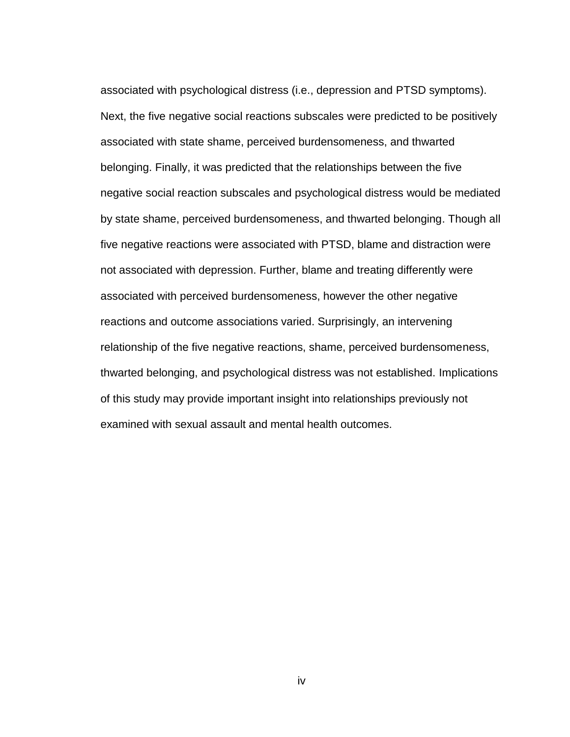associated with psychological distress (i.e., depression and PTSD symptoms). Next, the five negative social reactions subscales were predicted to be positively associated with state shame, perceived burdensomeness, and thwarted belonging. Finally, it was predicted that the relationships between the five negative social reaction subscales and psychological distress would be mediated by state shame, perceived burdensomeness, and thwarted belonging. Though all five negative reactions were associated with PTSD, blame and distraction were not associated with depression. Further, blame and treating differently were associated with perceived burdensomeness, however the other negative reactions and outcome associations varied. Surprisingly, an intervening relationship of the five negative reactions, shame, perceived burdensomeness, thwarted belonging, and psychological distress was not established. Implications of this study may provide important insight into relationships previously not examined with sexual assault and mental health outcomes.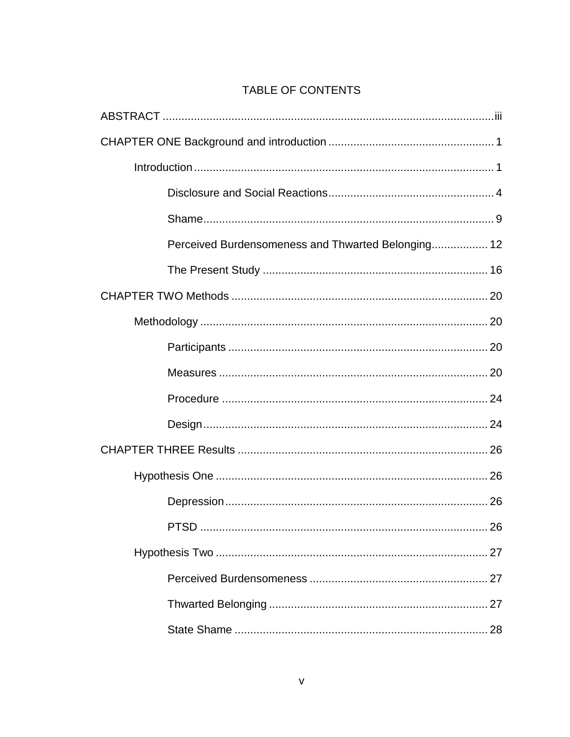# TABLE OF CONTENTS

| Perceived Burdensomeness and Thwarted Belonging 12 |
|----------------------------------------------------|
|                                                    |
|                                                    |
|                                                    |
|                                                    |
|                                                    |
|                                                    |
|                                                    |
|                                                    |
|                                                    |
|                                                    |
|                                                    |
|                                                    |
|                                                    |
|                                                    |
|                                                    |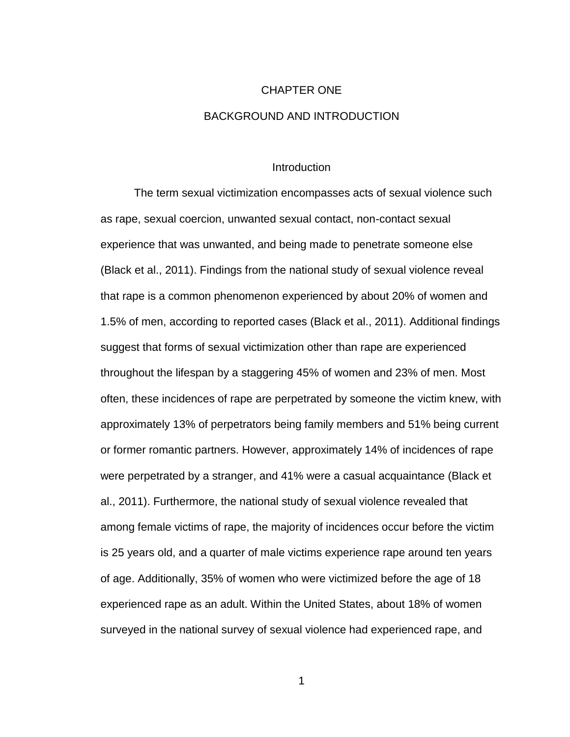# CHAPTER ONE BACKGROUND AND INTRODUCTION

### Introduction

<span id="page-8-1"></span><span id="page-8-0"></span>The term sexual victimization encompasses acts of sexual violence such as rape, sexual coercion, unwanted sexual contact, non-contact sexual experience that was unwanted, and being made to penetrate someone else (Black et al., 2011). Findings from the national study of sexual violence reveal that rape is a common phenomenon experienced by about 20% of women and 1.5% of men, according to reported cases (Black et al., 2011). Additional findings suggest that forms of sexual victimization other than rape are experienced throughout the lifespan by a staggering 45% of women and 23% of men. Most often, these incidences of rape are perpetrated by someone the victim knew, with approximately 13% of perpetrators being family members and 51% being current or former romantic partners. However, approximately 14% of incidences of rape were perpetrated by a stranger, and 41% were a casual acquaintance (Black et al., 2011). Furthermore, the national study of sexual violence revealed that among female victims of rape, the majority of incidences occur before the victim is 25 years old, and a quarter of male victims experience rape around ten years of age. Additionally, 35% of women who were victimized before the age of 18 experienced rape as an adult. Within the United States, about 18% of women surveyed in the national survey of sexual violence had experienced rape, and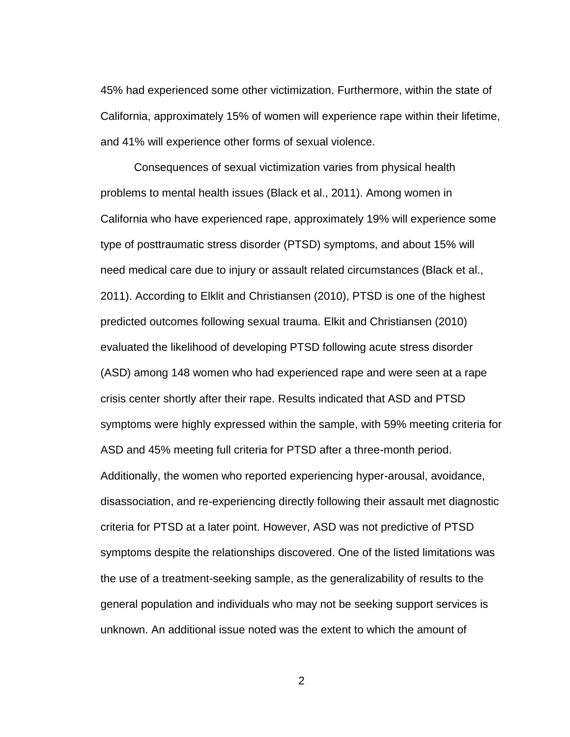45% had experienced some other victimization. Furthermore, within the state of California, approximately 15% of women will experience rape within their lifetime, and 41% will experience other forms of sexual violence.

Consequences of sexual victimization varies from physical health problems to mental health issues (Black et al., 2011). Among women in California who have experienced rape, approximately 19% will experience some type of posttraumatic stress disorder (PTSD) symptoms, and about 15% will need medical care due to injury or assault related circumstances (Black et al., 2011). According to Elklit and Christiansen (2010), PTSD is one of the highest predicted outcomes following sexual trauma. Elkit and Christiansen (2010) evaluated the likelihood of developing PTSD following acute stress disorder (ASD) among 148 women who had experienced rape and were seen at a rape crisis center shortly after their rape. Results indicated that ASD and PTSD symptoms were highly expressed within the sample, with 59% meeting criteria for ASD and 45% meeting full criteria for PTSD after a three-month period. Additionally, the women who reported experiencing hyper-arousal, avoidance, disassociation, and re-experiencing directly following their assault met diagnostic criteria for PTSD at a later point. However, ASD was not predictive of PTSD symptoms despite the relationships discovered. One of the listed limitations was the use of a treatment-seeking sample, as the generalizability of results to the general population and individuals who may not be seeking support services is unknown. An additional issue noted was the extent to which the amount of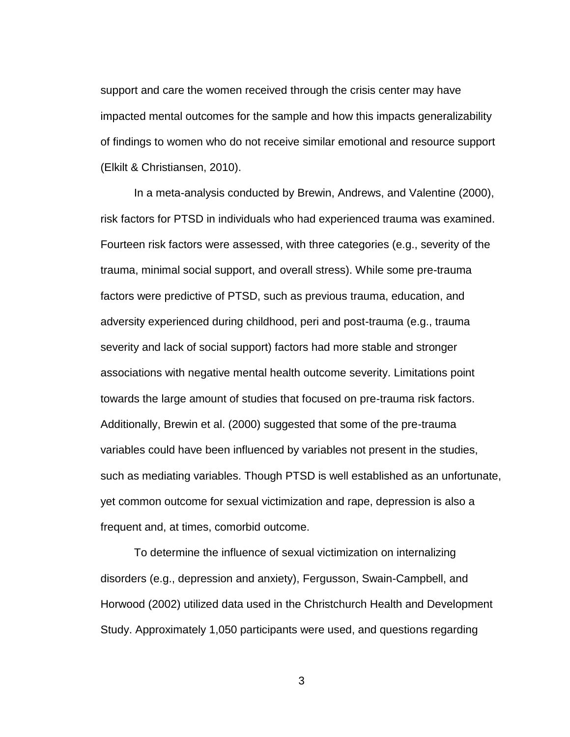support and care the women received through the crisis center may have impacted mental outcomes for the sample and how this impacts generalizability of findings to women who do not receive similar emotional and resource support (Elkilt & Christiansen, 2010).

In a meta-analysis conducted by Brewin, Andrews, and Valentine (2000), risk factors for PTSD in individuals who had experienced trauma was examined. Fourteen risk factors were assessed, with three categories (e.g., severity of the trauma, minimal social support, and overall stress). While some pre-trauma factors were predictive of PTSD, such as previous trauma, education, and adversity experienced during childhood, peri and post-trauma (e.g., trauma severity and lack of social support) factors had more stable and stronger associations with negative mental health outcome severity. Limitations point towards the large amount of studies that focused on pre-trauma risk factors. Additionally, Brewin et al. (2000) suggested that some of the pre-trauma variables could have been influenced by variables not present in the studies, such as mediating variables. Though PTSD is well established as an unfortunate, yet common outcome for sexual victimization and rape, depression is also a frequent and, at times, comorbid outcome.

To determine the influence of sexual victimization on internalizing disorders (e.g., depression and anxiety), Fergusson, Swain-Campbell, and Horwood (2002) utilized data used in the Christchurch Health and Development Study. Approximately 1,050 participants were used, and questions regarding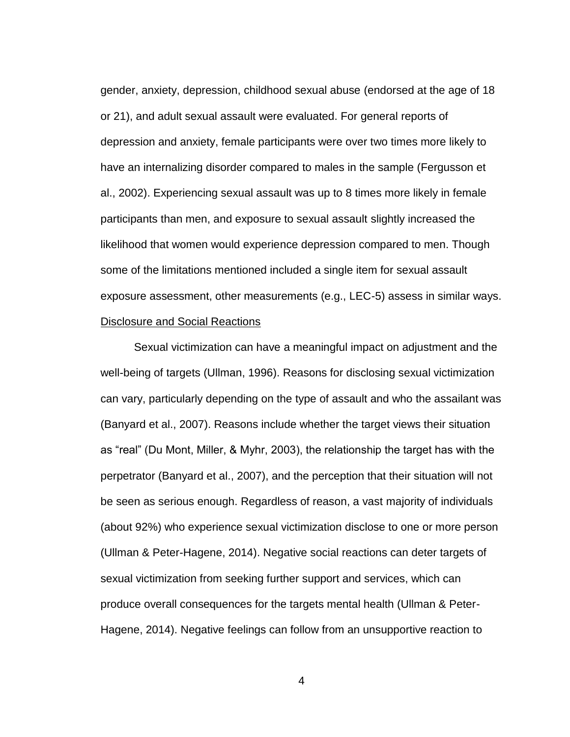gender, anxiety, depression, childhood sexual abuse (endorsed at the age of 18 or 21), and adult sexual assault were evaluated. For general reports of depression and anxiety, female participants were over two times more likely to have an internalizing disorder compared to males in the sample (Fergusson et al., 2002). Experiencing sexual assault was up to 8 times more likely in female participants than men, and exposure to sexual assault slightly increased the likelihood that women would experience depression compared to men. Though some of the limitations mentioned included a single item for sexual assault exposure assessment, other measurements (e.g., LEC-5) assess in similar ways. Disclosure and Social Reactions

<span id="page-11-0"></span>Sexual victimization can have a meaningful impact on adjustment and the well-being of targets (Ullman, 1996). Reasons for disclosing sexual victimization can vary, particularly depending on the type of assault and who the assailant was (Banyard et al., 2007). Reasons include whether the target views their situation as "real" (Du Mont, Miller, & Myhr, 2003), the relationship the target has with the perpetrator (Banyard et al., 2007), and the perception that their situation will not be seen as serious enough. Regardless of reason, a vast majority of individuals (about 92%) who experience sexual victimization disclose to one or more person (Ullman & Peter-Hagene, 2014). Negative social reactions can deter targets of sexual victimization from seeking further support and services, which can produce overall consequences for the targets mental health (Ullman & Peter-Hagene, 2014). Negative feelings can follow from an unsupportive reaction to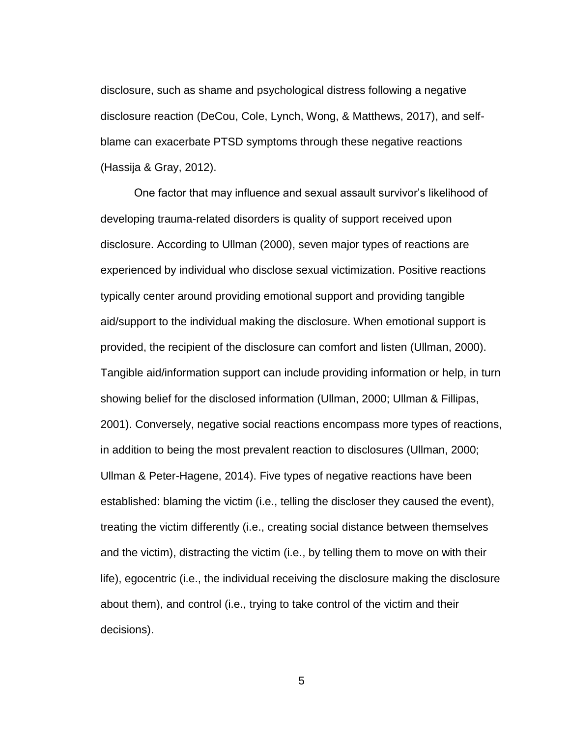disclosure, such as shame and psychological distress following a negative disclosure reaction (DeCou, Cole, Lynch, Wong, & Matthews, 2017), and selfblame can exacerbate PTSD symptoms through these negative reactions (Hassija & Gray, 2012).

One factor that may influence and sexual assault survivor's likelihood of developing trauma-related disorders is quality of support received upon disclosure. According to Ullman (2000), seven major types of reactions are experienced by individual who disclose sexual victimization. Positive reactions typically center around providing emotional support and providing tangible aid/support to the individual making the disclosure. When emotional support is provided, the recipient of the disclosure can comfort and listen (Ullman, 2000). Tangible aid/information support can include providing information or help, in turn showing belief for the disclosed information (Ullman, 2000; Ullman & Fillipas, 2001). Conversely, negative social reactions encompass more types of reactions, in addition to being the most prevalent reaction to disclosures (Ullman, 2000; Ullman & Peter-Hagene, 2014). Five types of negative reactions have been established: blaming the victim (i.e., telling the discloser they caused the event), treating the victim differently (i.e., creating social distance between themselves and the victim), distracting the victim (i.e., by telling them to move on with their life), egocentric (i.e., the individual receiving the disclosure making the disclosure about them), and control (i.e., trying to take control of the victim and their decisions).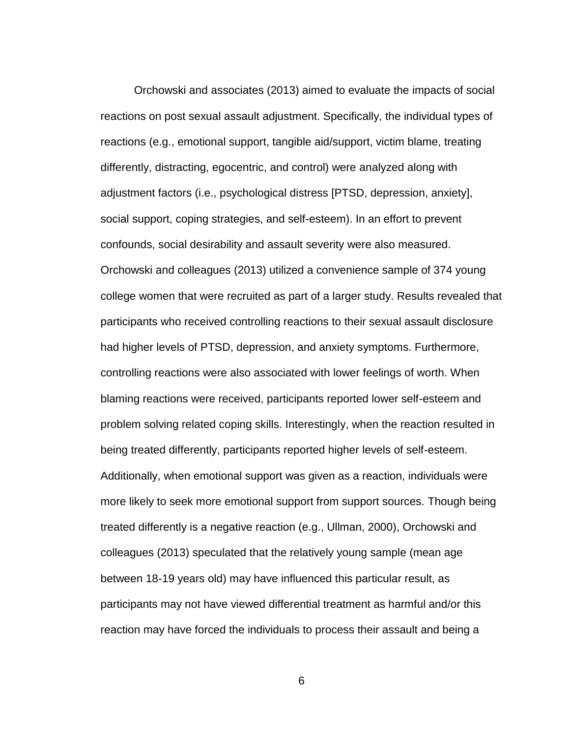Orchowski and associates (2013) aimed to evaluate the impacts of social reactions on post sexual assault adjustment. Specifically, the individual types of reactions (e.g., emotional support, tangible aid/support, victim blame, treating differently, distracting, egocentric, and control) were analyzed along with adjustment factors (i.e., psychological distress [PTSD, depression, anxiety], social support, coping strategies, and self-esteem). In an effort to prevent confounds, social desirability and assault severity were also measured. Orchowski and colleagues (2013) utilized a convenience sample of 374 young college women that were recruited as part of a larger study. Results revealed that participants who received controlling reactions to their sexual assault disclosure had higher levels of PTSD, depression, and anxiety symptoms. Furthermore, controlling reactions were also associated with lower feelings of worth. When blaming reactions were received, participants reported lower self-esteem and problem solving related coping skills. Interestingly, when the reaction resulted in being treated differently, participants reported higher levels of self-esteem. Additionally, when emotional support was given as a reaction, individuals were more likely to seek more emotional support from support sources. Though being treated differently is a negative reaction (e.g., Ullman, 2000), Orchowski and colleagues (2013) speculated that the relatively young sample (mean age between 18-19 years old) may have influenced this particular result, as participants may not have viewed differential treatment as harmful and/or this reaction may have forced the individuals to process their assault and being a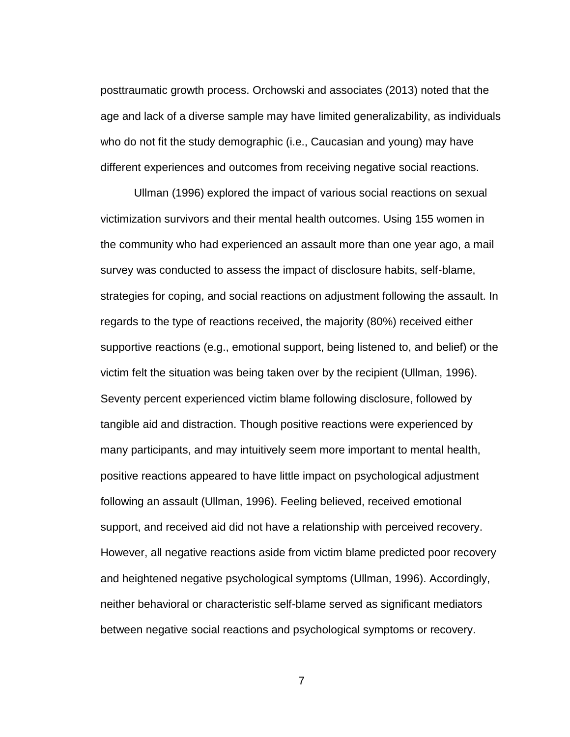posttraumatic growth process. Orchowski and associates (2013) noted that the age and lack of a diverse sample may have limited generalizability, as individuals who do not fit the study demographic (i.e., Caucasian and young) may have different experiences and outcomes from receiving negative social reactions.

Ullman (1996) explored the impact of various social reactions on sexual victimization survivors and their mental health outcomes. Using 155 women in the community who had experienced an assault more than one year ago, a mail survey was conducted to assess the impact of disclosure habits, self-blame, strategies for coping, and social reactions on adjustment following the assault. In regards to the type of reactions received, the majority (80%) received either supportive reactions (e.g., emotional support, being listened to, and belief) or the victim felt the situation was being taken over by the recipient (Ullman, 1996). Seventy percent experienced victim blame following disclosure, followed by tangible aid and distraction. Though positive reactions were experienced by many participants, and may intuitively seem more important to mental health, positive reactions appeared to have little impact on psychological adjustment following an assault (Ullman, 1996). Feeling believed, received emotional support, and received aid did not have a relationship with perceived recovery. However, all negative reactions aside from victim blame predicted poor recovery and heightened negative psychological symptoms (Ullman, 1996). Accordingly, neither behavioral or characteristic self-blame served as significant mediators between negative social reactions and psychological symptoms or recovery.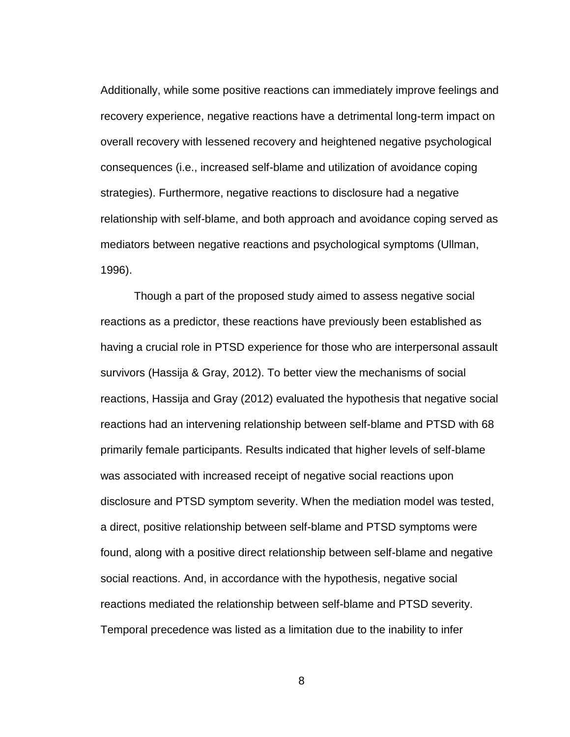Additionally, while some positive reactions can immediately improve feelings and recovery experience, negative reactions have a detrimental long-term impact on overall recovery with lessened recovery and heightened negative psychological consequences (i.e., increased self-blame and utilization of avoidance coping strategies). Furthermore, negative reactions to disclosure had a negative relationship with self-blame, and both approach and avoidance coping served as mediators between negative reactions and psychological symptoms (Ullman, 1996).

Though a part of the proposed study aimed to assess negative social reactions as a predictor, these reactions have previously been established as having a crucial role in PTSD experience for those who are interpersonal assault survivors (Hassija & Gray, 2012). To better view the mechanisms of social reactions, Hassija and Gray (2012) evaluated the hypothesis that negative social reactions had an intervening relationship between self-blame and PTSD with 68 primarily female participants. Results indicated that higher levels of self-blame was associated with increased receipt of negative social reactions upon disclosure and PTSD symptom severity. When the mediation model was tested, a direct, positive relationship between self-blame and PTSD symptoms were found, along with a positive direct relationship between self-blame and negative social reactions. And, in accordance with the hypothesis, negative social reactions mediated the relationship between self-blame and PTSD severity. Temporal precedence was listed as a limitation due to the inability to infer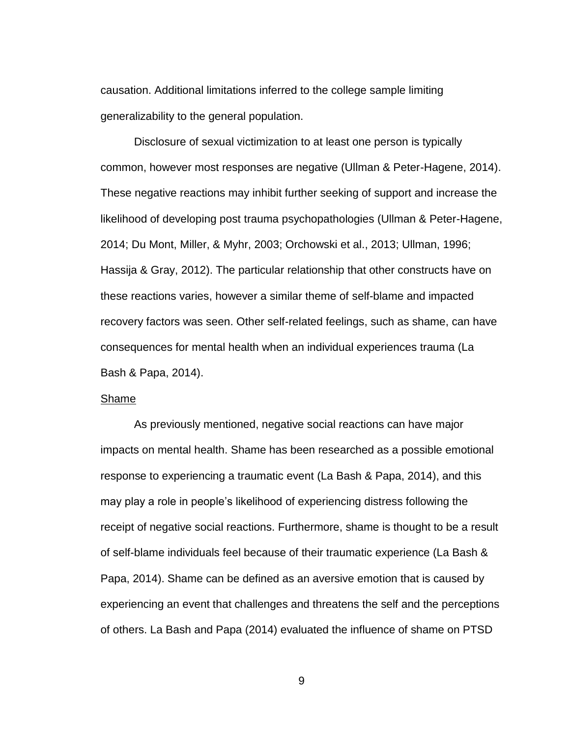causation. Additional limitations inferred to the college sample limiting generalizability to the general population.

Disclosure of sexual victimization to at least one person is typically common, however most responses are negative (Ullman & Peter-Hagene, 2014). These negative reactions may inhibit further seeking of support and increase the likelihood of developing post trauma psychopathologies (Ullman & Peter-Hagene, 2014; Du Mont, Miller, & Myhr, 2003; Orchowski et al., 2013; Ullman, 1996; Hassija & Gray, 2012). The particular relationship that other constructs have on these reactions varies, however a similar theme of self-blame and impacted recovery factors was seen. Other self-related feelings, such as shame, can have consequences for mental health when an individual experiences trauma (La Bash & Papa, 2014).

# <span id="page-16-0"></span>Shame

As previously mentioned, negative social reactions can have major impacts on mental health. Shame has been researched as a possible emotional response to experiencing a traumatic event (La Bash & Papa, 2014), and this may play a role in people's likelihood of experiencing distress following the receipt of negative social reactions. Furthermore, shame is thought to be a result of self-blame individuals feel because of their traumatic experience (La Bash & Papa, 2014). Shame can be defined as an aversive emotion that is caused by experiencing an event that challenges and threatens the self and the perceptions of others. La Bash and Papa (2014) evaluated the influence of shame on PTSD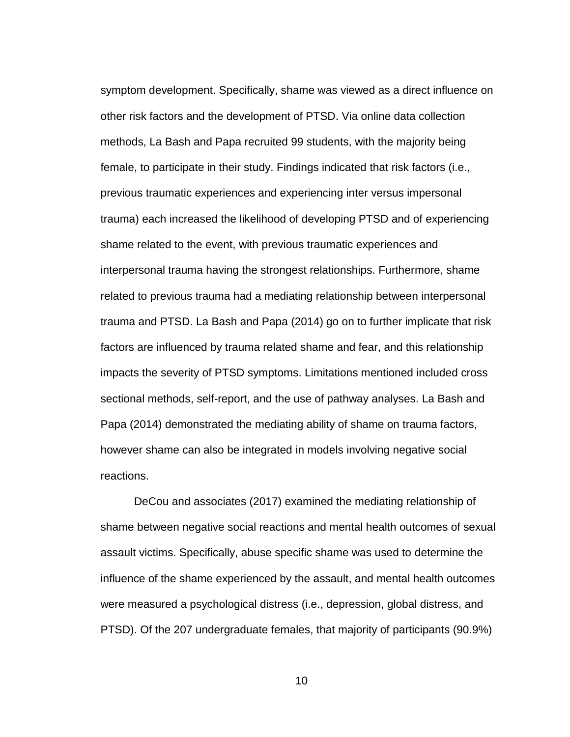symptom development. Specifically, shame was viewed as a direct influence on other risk factors and the development of PTSD. Via online data collection methods, La Bash and Papa recruited 99 students, with the majority being female, to participate in their study. Findings indicated that risk factors (i.e., previous traumatic experiences and experiencing inter versus impersonal trauma) each increased the likelihood of developing PTSD and of experiencing shame related to the event, with previous traumatic experiences and interpersonal trauma having the strongest relationships. Furthermore, shame related to previous trauma had a mediating relationship between interpersonal trauma and PTSD. La Bash and Papa (2014) go on to further implicate that risk factors are influenced by trauma related shame and fear, and this relationship impacts the severity of PTSD symptoms. Limitations mentioned included cross sectional methods, self-report, and the use of pathway analyses. La Bash and Papa (2014) demonstrated the mediating ability of shame on trauma factors, however shame can also be integrated in models involving negative social reactions.

DeCou and associates (2017) examined the mediating relationship of shame between negative social reactions and mental health outcomes of sexual assault victims. Specifically, abuse specific shame was used to determine the influence of the shame experienced by the assault, and mental health outcomes were measured a psychological distress (i.e., depression, global distress, and PTSD). Of the 207 undergraduate females, that majority of participants (90.9%)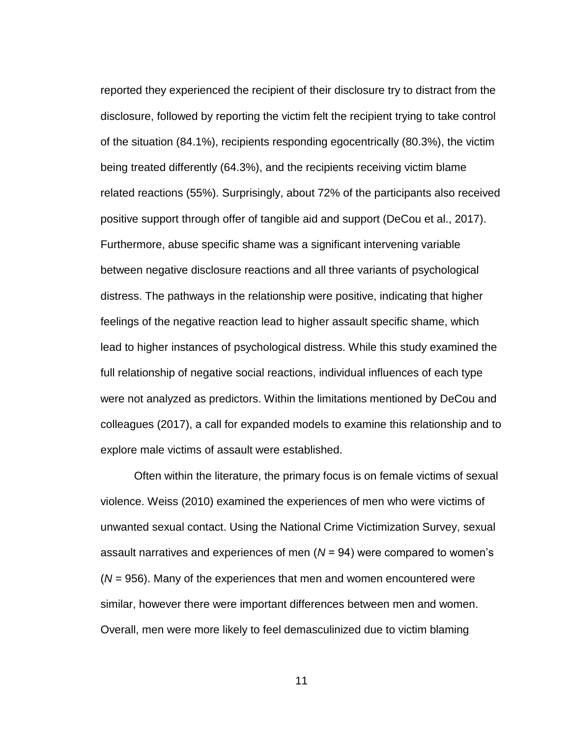reported they experienced the recipient of their disclosure try to distract from the disclosure, followed by reporting the victim felt the recipient trying to take control of the situation (84.1%), recipients responding egocentrically (80.3%), the victim being treated differently (64.3%), and the recipients receiving victim blame related reactions (55%). Surprisingly, about 72% of the participants also received positive support through offer of tangible aid and support (DeCou et al., 2017). Furthermore, abuse specific shame was a significant intervening variable between negative disclosure reactions and all three variants of psychological distress. The pathways in the relationship were positive, indicating that higher feelings of the negative reaction lead to higher assault specific shame, which lead to higher instances of psychological distress. While this study examined the full relationship of negative social reactions, individual influences of each type were not analyzed as predictors. Within the limitations mentioned by DeCou and colleagues (2017), a call for expanded models to examine this relationship and to explore male victims of assault were established.

Often within the literature, the primary focus is on female victims of sexual violence. Weiss (2010) examined the experiences of men who were victims of unwanted sexual contact. Using the National Crime Victimization Survey, sexual assault narratives and experiences of men (*N* = 94) were compared to women's (*N* = 956). Many of the experiences that men and women encountered were similar, however there were important differences between men and women. Overall, men were more likely to feel demasculinized due to victim blaming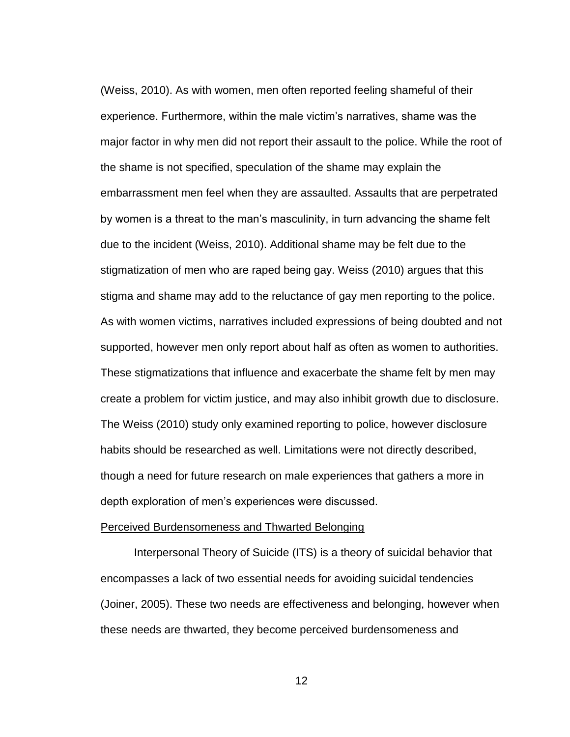(Weiss, 2010). As with women, men often reported feeling shameful of their experience. Furthermore, within the male victim's narratives, shame was the major factor in why men did not report their assault to the police. While the root of the shame is not specified, speculation of the shame may explain the embarrassment men feel when they are assaulted. Assaults that are perpetrated by women is a threat to the man's masculinity, in turn advancing the shame felt due to the incident (Weiss, 2010). Additional shame may be felt due to the stigmatization of men who are raped being gay. Weiss (2010) argues that this stigma and shame may add to the reluctance of gay men reporting to the police. As with women victims, narratives included expressions of being doubted and not supported, however men only report about half as often as women to authorities. These stigmatizations that influence and exacerbate the shame felt by men may create a problem for victim justice, and may also inhibit growth due to disclosure. The Weiss (2010) study only examined reporting to police, however disclosure habits should be researched as well. Limitations were not directly described, though a need for future research on male experiences that gathers a more in depth exploration of men's experiences were discussed.

### <span id="page-19-0"></span>Perceived Burdensomeness and Thwarted Belonging

Interpersonal Theory of Suicide (ITS) is a theory of suicidal behavior that encompasses a lack of two essential needs for avoiding suicidal tendencies (Joiner, 2005). These two needs are effectiveness and belonging, however when these needs are thwarted, they become perceived burdensomeness and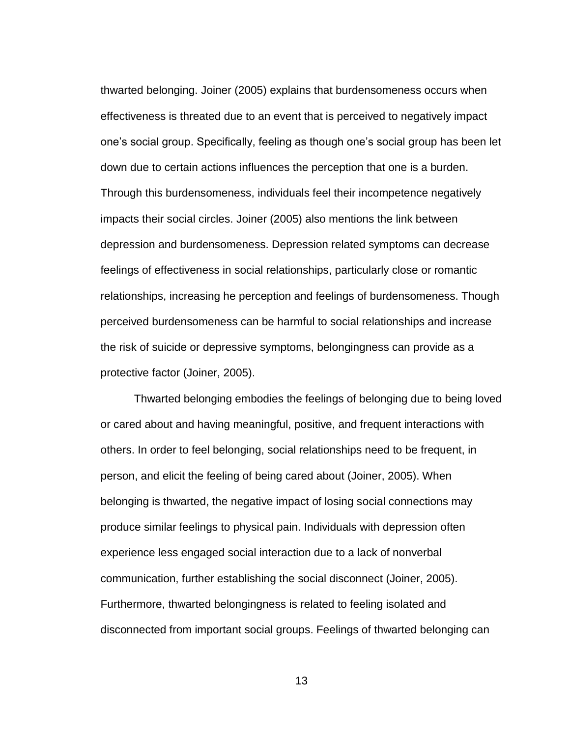thwarted belonging. Joiner (2005) explains that burdensomeness occurs when effectiveness is threated due to an event that is perceived to negatively impact one's social group. Specifically, feeling as though one's social group has been let down due to certain actions influences the perception that one is a burden. Through this burdensomeness, individuals feel their incompetence negatively impacts their social circles. Joiner (2005) also mentions the link between depression and burdensomeness. Depression related symptoms can decrease feelings of effectiveness in social relationships, particularly close or romantic relationships, increasing he perception and feelings of burdensomeness. Though perceived burdensomeness can be harmful to social relationships and increase the risk of suicide or depressive symptoms, belongingness can provide as a protective factor (Joiner, 2005).

Thwarted belonging embodies the feelings of belonging due to being loved or cared about and having meaningful, positive, and frequent interactions with others. In order to feel belonging, social relationships need to be frequent, in person, and elicit the feeling of being cared about (Joiner, 2005). When belonging is thwarted, the negative impact of losing social connections may produce similar feelings to physical pain. Individuals with depression often experience less engaged social interaction due to a lack of nonverbal communication, further establishing the social disconnect (Joiner, 2005). Furthermore, thwarted belongingness is related to feeling isolated and disconnected from important social groups. Feelings of thwarted belonging can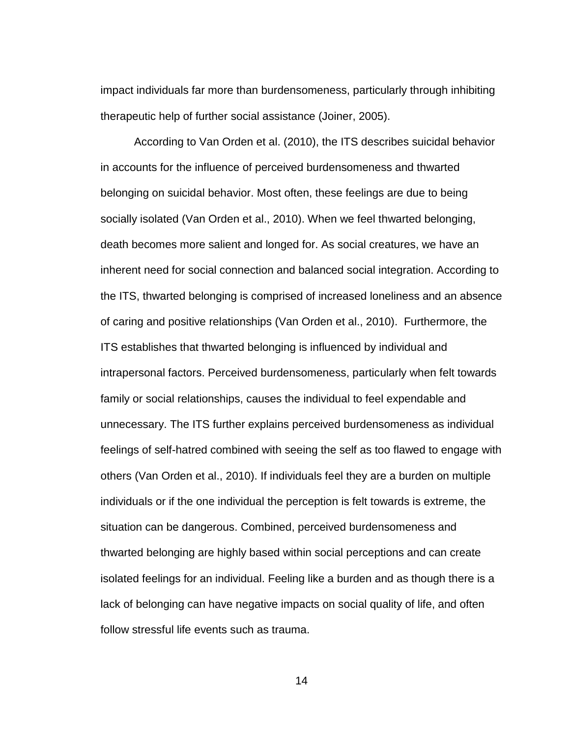impact individuals far more than burdensomeness, particularly through inhibiting therapeutic help of further social assistance (Joiner, 2005).

According to Van Orden et al. (2010), the ITS describes suicidal behavior in accounts for the influence of perceived burdensomeness and thwarted belonging on suicidal behavior. Most often, these feelings are due to being socially isolated (Van Orden et al., 2010). When we feel thwarted belonging, death becomes more salient and longed for. As social creatures, we have an inherent need for social connection and balanced social integration. According to the ITS, thwarted belonging is comprised of increased loneliness and an absence of caring and positive relationships (Van Orden et al., 2010). Furthermore, the ITS establishes that thwarted belonging is influenced by individual and intrapersonal factors. Perceived burdensomeness, particularly when felt towards family or social relationships, causes the individual to feel expendable and unnecessary. The ITS further explains perceived burdensomeness as individual feelings of self-hatred combined with seeing the self as too flawed to engage with others (Van Orden et al., 2010). If individuals feel they are a burden on multiple individuals or if the one individual the perception is felt towards is extreme, the situation can be dangerous. Combined, perceived burdensomeness and thwarted belonging are highly based within social perceptions and can create isolated feelings for an individual. Feeling like a burden and as though there is a lack of belonging can have negative impacts on social quality of life, and often follow stressful life events such as trauma.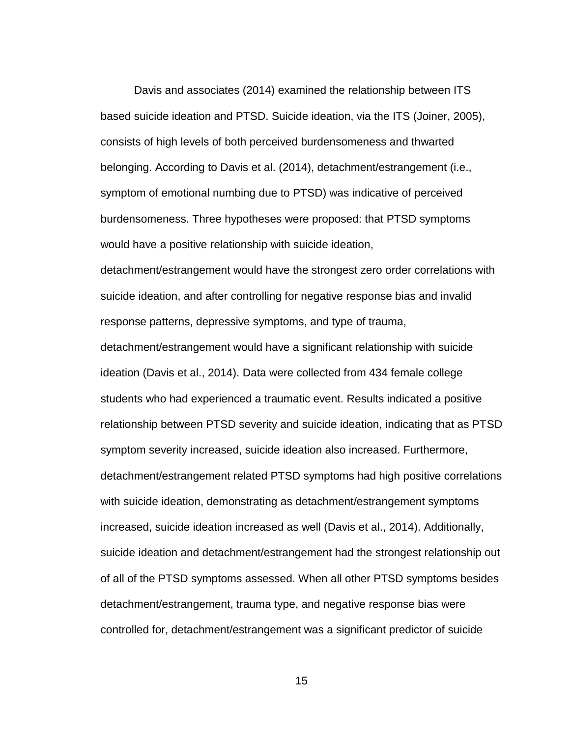Davis and associates (2014) examined the relationship between ITS based suicide ideation and PTSD. Suicide ideation, via the ITS (Joiner, 2005), consists of high levels of both perceived burdensomeness and thwarted belonging. According to Davis et al. (2014), detachment/estrangement (i.e., symptom of emotional numbing due to PTSD) was indicative of perceived burdensomeness. Three hypotheses were proposed: that PTSD symptoms would have a positive relationship with suicide ideation,

detachment/estrangement would have the strongest zero order correlations with suicide ideation, and after controlling for negative response bias and invalid response patterns, depressive symptoms, and type of trauma,

detachment/estrangement would have a significant relationship with suicide ideation (Davis et al., 2014). Data were collected from 434 female college students who had experienced a traumatic event. Results indicated a positive relationship between PTSD severity and suicide ideation, indicating that as PTSD symptom severity increased, suicide ideation also increased. Furthermore, detachment/estrangement related PTSD symptoms had high positive correlations with suicide ideation, demonstrating as detachment/estrangement symptoms increased, suicide ideation increased as well (Davis et al., 2014). Additionally, suicide ideation and detachment/estrangement had the strongest relationship out of all of the PTSD symptoms assessed. When all other PTSD symptoms besides detachment/estrangement, trauma type, and negative response bias were controlled for, detachment/estrangement was a significant predictor of suicide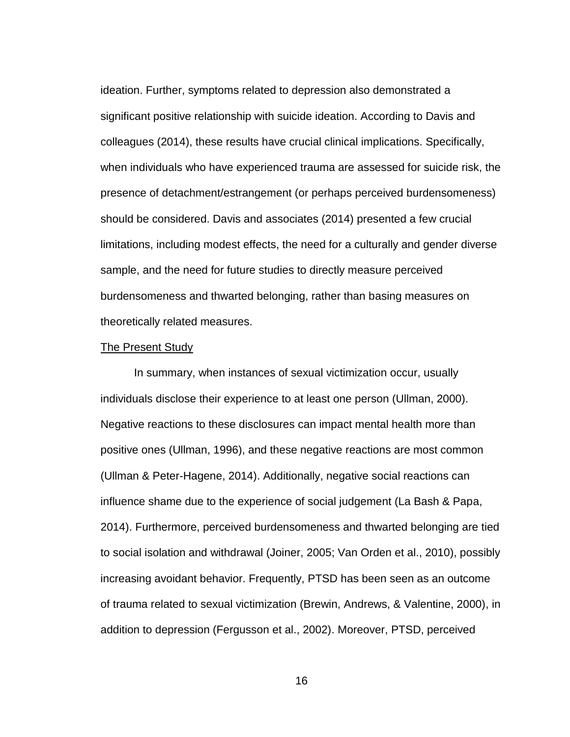ideation. Further, symptoms related to depression also demonstrated a significant positive relationship with suicide ideation. According to Davis and colleagues (2014), these results have crucial clinical implications. Specifically, when individuals who have experienced trauma are assessed for suicide risk, the presence of detachment/estrangement (or perhaps perceived burdensomeness) should be considered. Davis and associates (2014) presented a few crucial limitations, including modest effects, the need for a culturally and gender diverse sample, and the need for future studies to directly measure perceived burdensomeness and thwarted belonging, rather than basing measures on theoretically related measures.

## <span id="page-23-0"></span>The Present Study

In summary, when instances of sexual victimization occur, usually individuals disclose their experience to at least one person (Ullman, 2000). Negative reactions to these disclosures can impact mental health more than positive ones (Ullman, 1996), and these negative reactions are most common (Ullman & Peter-Hagene, 2014). Additionally, negative social reactions can influence shame due to the experience of social judgement (La Bash & Papa, 2014). Furthermore, perceived burdensomeness and thwarted belonging are tied to social isolation and withdrawal (Joiner, 2005; Van Orden et al., 2010), possibly increasing avoidant behavior. Frequently, PTSD has been seen as an outcome of trauma related to sexual victimization (Brewin, Andrews, & Valentine, 2000), in addition to depression (Fergusson et al., 2002). Moreover, PTSD, perceived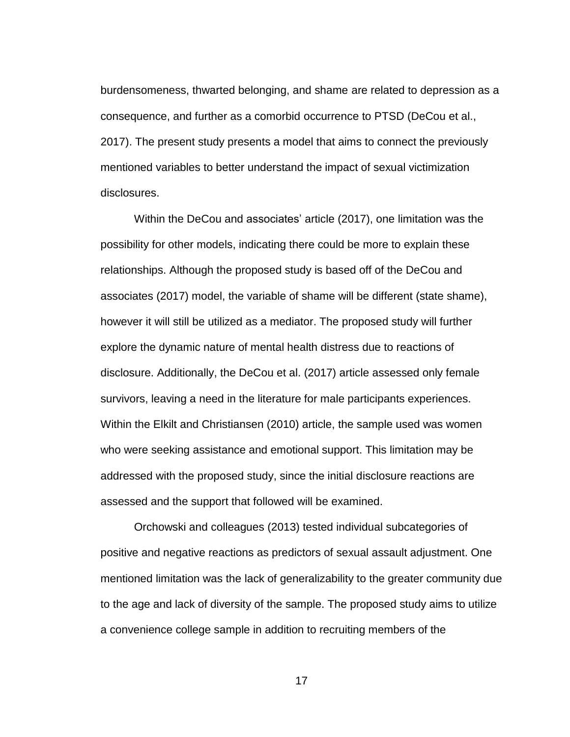burdensomeness, thwarted belonging, and shame are related to depression as a consequence, and further as a comorbid occurrence to PTSD (DeCou et al., 2017). The present study presents a model that aims to connect the previously mentioned variables to better understand the impact of sexual victimization disclosures.

Within the DeCou and associates' article (2017), one limitation was the possibility for other models, indicating there could be more to explain these relationships. Although the proposed study is based off of the DeCou and associates (2017) model, the variable of shame will be different (state shame), however it will still be utilized as a mediator. The proposed study will further explore the dynamic nature of mental health distress due to reactions of disclosure. Additionally, the DeCou et al. (2017) article assessed only female survivors, leaving a need in the literature for male participants experiences. Within the Elkilt and Christiansen (2010) article, the sample used was women who were seeking assistance and emotional support. This limitation may be addressed with the proposed study, since the initial disclosure reactions are assessed and the support that followed will be examined.

Orchowski and colleagues (2013) tested individual subcategories of positive and negative reactions as predictors of sexual assault adjustment. One mentioned limitation was the lack of generalizability to the greater community due to the age and lack of diversity of the sample. The proposed study aims to utilize a convenience college sample in addition to recruiting members of the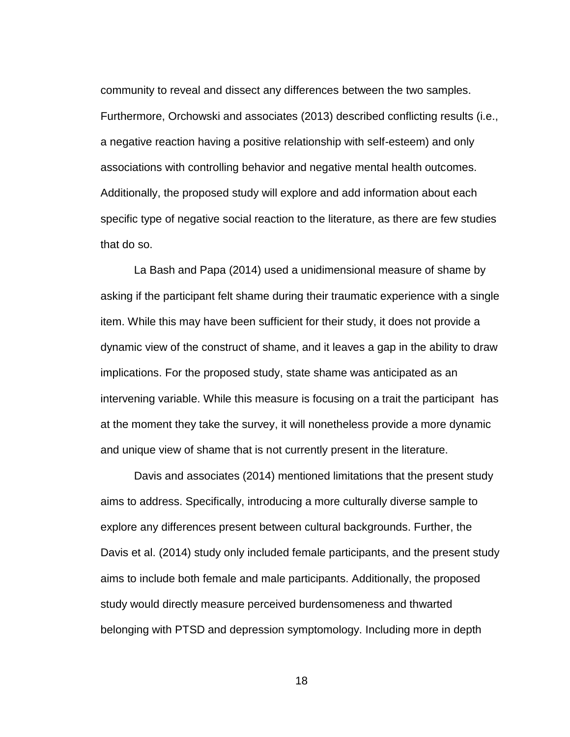community to reveal and dissect any differences between the two samples. Furthermore, Orchowski and associates (2013) described conflicting results (i.e., a negative reaction having a positive relationship with self-esteem) and only associations with controlling behavior and negative mental health outcomes. Additionally, the proposed study will explore and add information about each specific type of negative social reaction to the literature, as there are few studies that do so.

La Bash and Papa (2014) used a unidimensional measure of shame by asking if the participant felt shame during their traumatic experience with a single item. While this may have been sufficient for their study, it does not provide a dynamic view of the construct of shame, and it leaves a gap in the ability to draw implications. For the proposed study, state shame was anticipated as an intervening variable. While this measure is focusing on a trait the participant has at the moment they take the survey, it will nonetheless provide a more dynamic and unique view of shame that is not currently present in the literature.

Davis and associates (2014) mentioned limitations that the present study aims to address. Specifically, introducing a more culturally diverse sample to explore any differences present between cultural backgrounds. Further, the Davis et al. (2014) study only included female participants, and the present study aims to include both female and male participants. Additionally, the proposed study would directly measure perceived burdensomeness and thwarted belonging with PTSD and depression symptomology. Including more in depth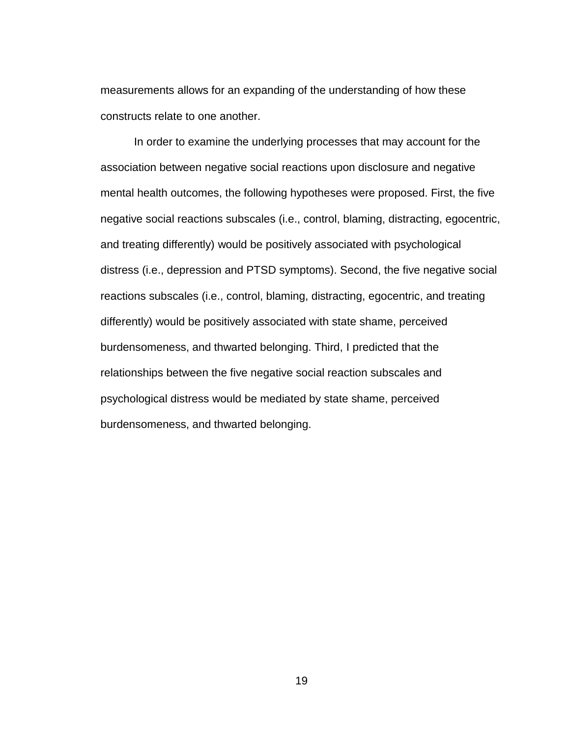measurements allows for an expanding of the understanding of how these constructs relate to one another.

In order to examine the underlying processes that may account for the association between negative social reactions upon disclosure and negative mental health outcomes, the following hypotheses were proposed. First, the five negative social reactions subscales (i.e., control, blaming, distracting, egocentric, and treating differently) would be positively associated with psychological distress (i.e., depression and PTSD symptoms). Second, the five negative social reactions subscales (i.e., control, blaming, distracting, egocentric, and treating differently) would be positively associated with state shame, perceived burdensomeness, and thwarted belonging. Third, I predicted that the relationships between the five negative social reaction subscales and psychological distress would be mediated by state shame, perceived burdensomeness, and thwarted belonging.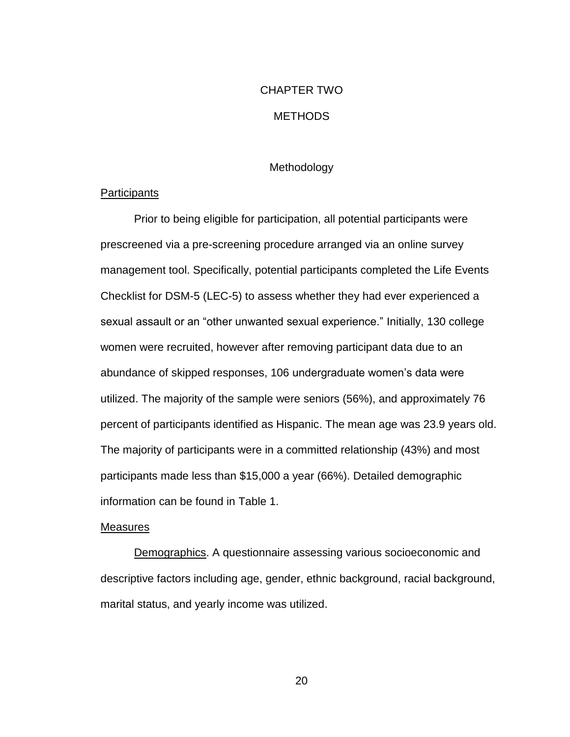# CHAPTER TWO

# METHODS

# Methodology

# <span id="page-27-2"></span><span id="page-27-1"></span><span id="page-27-0"></span>**Participants**

Prior to being eligible for participation, all potential participants were prescreened via a pre-screening procedure arranged via an online survey management tool. Specifically, potential participants completed the Life Events Checklist for DSM-5 (LEC-5) to assess whether they had ever experienced a sexual assault or an "other unwanted sexual experience." Initially, 130 college women were recruited, however after removing participant data due to an abundance of skipped responses, 106 undergraduate women's data were utilized. The majority of the sample were seniors (56%), and approximately 76 percent of participants identified as Hispanic. The mean age was 23.9 years old. The majority of participants were in a committed relationship (43%) and most participants made less than \$15,000 a year (66%). Detailed demographic information can be found in Table 1.

# <span id="page-27-3"></span>Measures

Demographics. A questionnaire assessing various socioeconomic and descriptive factors including age, gender, ethnic background, racial background, marital status, and yearly income was utilized.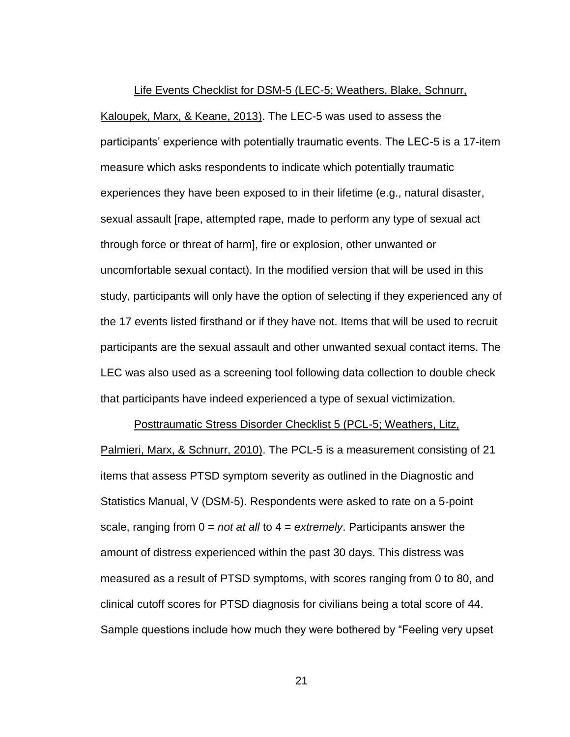Life Events Checklist for DSM-5 (LEC-5; Weathers, Blake, Schnurr, Kaloupek, Marx, & Keane, 2013). The LEC-5 was used to assess the participants' experience with potentially traumatic events. The LEC-5 is a 17-item measure which asks respondents to indicate which potentially traumatic experiences they have been exposed to in their lifetime (e.g., natural disaster, sexual assault [rape, attempted rape, made to perform any type of sexual act through force or threat of harm], fire or explosion, other unwanted or uncomfortable sexual contact). In the modified version that will be used in this study, participants will only have the option of selecting if they experienced any of the 17 events listed firsthand or if they have not. Items that will be used to recruit participants are the sexual assault and other unwanted sexual contact items. The LEC was also used as a screening tool following data collection to double check that participants have indeed experienced a type of sexual victimization.

Posttraumatic Stress Disorder Checklist 5 (PCL-5; Weathers, Litz, Palmieri, Marx, & Schnurr, 2010). The PCL-5 is a measurement consisting of 21 items that assess PTSD symptom severity as outlined in the Diagnostic and Statistics Manual, V (DSM-5). Respondents were asked to rate on a 5-point scale, ranging from 0 = *not at all* to 4 = *extremely*. Participants answer the amount of distress experienced within the past 30 days. This distress was measured as a result of PTSD symptoms, with scores ranging from 0 to 80, and clinical cutoff scores for PTSD diagnosis for civilians being a total score of 44. Sample questions include how much they were bothered by "Feeling very upset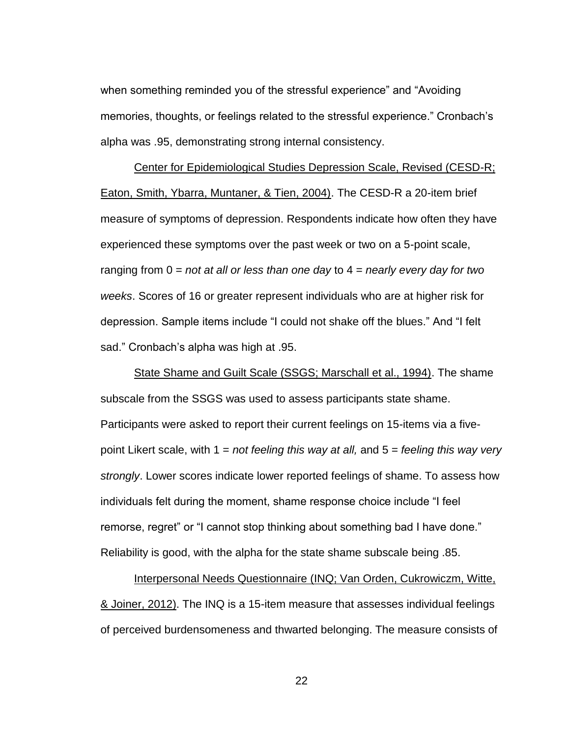when something reminded you of the stressful experience" and "Avoiding memories, thoughts, or feelings related to the stressful experience." Cronbach's alpha was .95, demonstrating strong internal consistency.

Center for Epidemiological Studies Depression Scale, Revised (CESD-R; Eaton, Smith, Ybarra, Muntaner, & Tien, 2004). The CESD-R a 20-item brief measure of symptoms of depression. Respondents indicate how often they have experienced these symptoms over the past week or two on a 5-point scale, ranging from 0 = *not at all or less than one day* to 4 = *nearly every day for two weeks*. Scores of 16 or greater represent individuals who are at higher risk for depression. Sample items include "I could not shake off the blues." And "I felt sad." Cronbach's alpha was high at .95.

State Shame and Guilt Scale (SSGS; Marschall et al., 1994). The shame subscale from the SSGS was used to assess participants state shame. Participants were asked to report their current feelings on 15-items via a fivepoint Likert scale, with 1 = *not feeling this way at all,* and 5 = *feeling this way very strongly*. Lower scores indicate lower reported feelings of shame. To assess how individuals felt during the moment, shame response choice include "I feel remorse, regret" or "I cannot stop thinking about something bad I have done." Reliability is good, with the alpha for the state shame subscale being .85.

Interpersonal Needs Questionnaire (INQ; Van Orden, Cukrowiczm, Witte, & Joiner, 2012). The INQ is a 15-item measure that assesses individual feelings of perceived burdensomeness and thwarted belonging. The measure consists of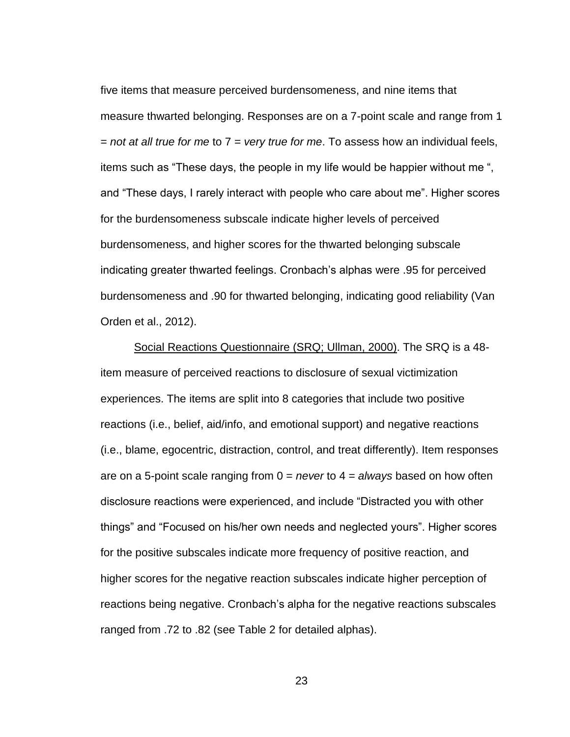five items that measure perceived burdensomeness, and nine items that measure thwarted belonging. Responses are on a 7-point scale and range from 1 = *not at all true for me* to 7 = *very true for me*. To assess how an individual feels, items such as "These days, the people in my life would be happier without me ", and "These days, I rarely interact with people who care about me". Higher scores for the burdensomeness subscale indicate higher levels of perceived burdensomeness, and higher scores for the thwarted belonging subscale indicating greater thwarted feelings. Cronbach's alphas were .95 for perceived burdensomeness and .90 for thwarted belonging, indicating good reliability (Van Orden et al., 2012).

Social Reactions Questionnaire (SRQ; Ullman, 2000). The SRQ is a 48 item measure of perceived reactions to disclosure of sexual victimization experiences. The items are split into 8 categories that include two positive reactions (i.e., belief, aid/info, and emotional support) and negative reactions (i.e., blame, egocentric, distraction, control, and treat differently). Item responses are on a 5-point scale ranging from 0 = *never* to 4 = *always* based on how often disclosure reactions were experienced, and include "Distracted you with other things" and "Focused on his/her own needs and neglected yours". Higher scores for the positive subscales indicate more frequency of positive reaction, and higher scores for the negative reaction subscales indicate higher perception of reactions being negative. Cronbach's alpha for the negative reactions subscales ranged from .72 to .82 (see Table 2 for detailed alphas).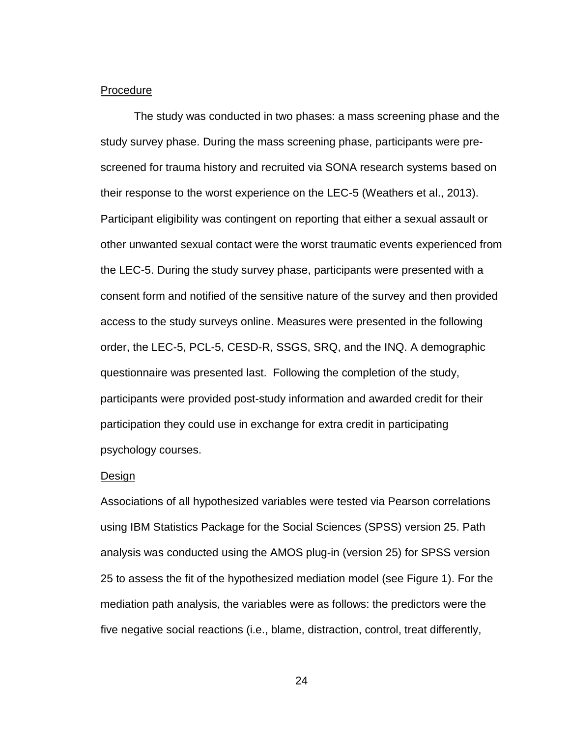### <span id="page-31-0"></span>Procedure

The study was conducted in two phases: a mass screening phase and the study survey phase. During the mass screening phase, participants were prescreened for trauma history and recruited via SONA research systems based on their response to the worst experience on the LEC-5 (Weathers et al., 2013). Participant eligibility was contingent on reporting that either a sexual assault or other unwanted sexual contact were the worst traumatic events experienced from the LEC-5. During the study survey phase, participants were presented with a consent form and notified of the sensitive nature of the survey and then provided access to the study surveys online. Measures were presented in the following order, the LEC-5, PCL-5, CESD-R, SSGS, SRQ, and the INQ. A demographic questionnaire was presented last. Following the completion of the study, participants were provided post-study information and awarded credit for their participation they could use in exchange for extra credit in participating psychology courses.

### <span id="page-31-1"></span>Design

Associations of all hypothesized variables were tested via Pearson correlations using IBM Statistics Package for the Social Sciences (SPSS) version 25. Path analysis was conducted using the AMOS plug-in (version 25) for SPSS version 25 to assess the fit of the hypothesized mediation model (see Figure 1). For the mediation path analysis, the variables were as follows: the predictors were the five negative social reactions (i.e., blame, distraction, control, treat differently,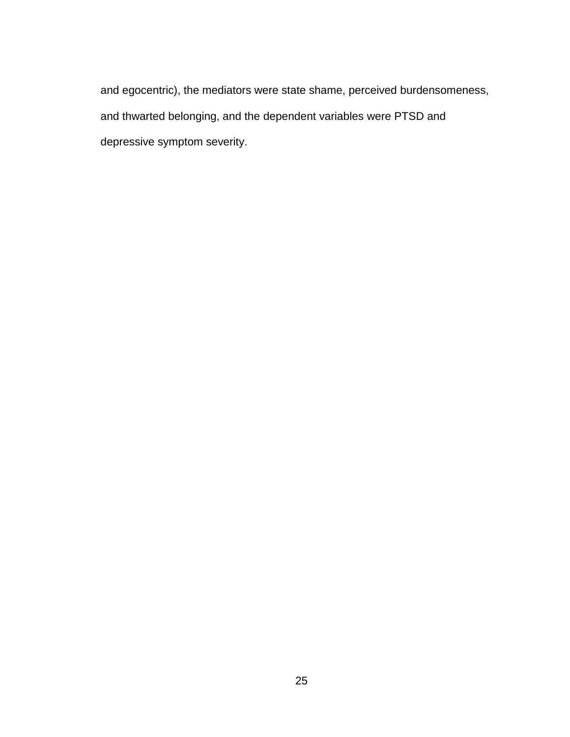and egocentric), the mediators were state shame, perceived burdensomeness, and thwarted belonging, and the dependent variables were PTSD and depressive symptom severity.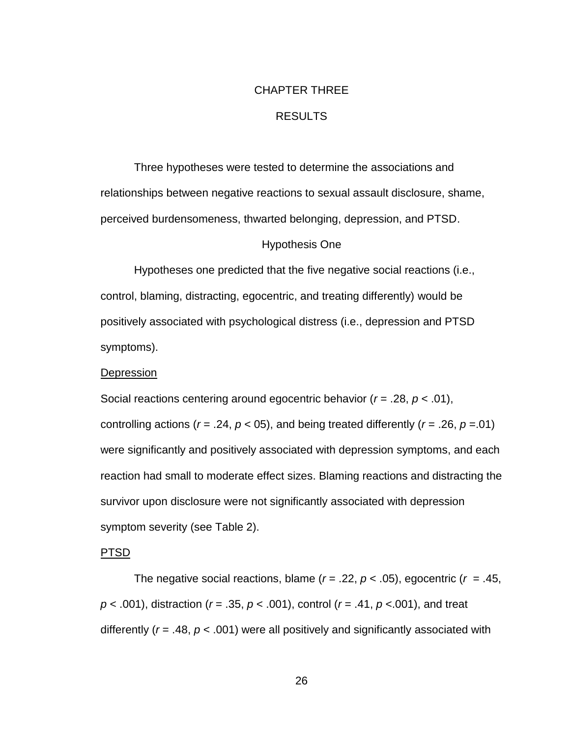# CHAPTER THREE

# RESULTS

<span id="page-33-0"></span>Three hypotheses were tested to determine the associations and relationships between negative reactions to sexual assault disclosure, shame, perceived burdensomeness, thwarted belonging, depression, and PTSD.

# Hypothesis One

<span id="page-33-1"></span>Hypotheses one predicted that the five negative social reactions (i.e., control, blaming, distracting, egocentric, and treating differently) would be positively associated with psychological distress (i.e., depression and PTSD symptoms).

# <span id="page-33-2"></span>**Depression**

Social reactions centering around egocentric behavior (*r* = .28, *p* < .01), controlling actions ( $r = .24$ ,  $p < 05$ ), and being treated differently ( $r = .26$ ,  $p = .01$ ) were significantly and positively associated with depression symptoms, and each reaction had small to moderate effect sizes. Blaming reactions and distracting the survivor upon disclosure were not significantly associated with depression symptom severity (see Table 2).

# <span id="page-33-3"></span>PTSD

The negative social reactions, blame  $(r = .22, p < .05)$ , egocentric  $(r = .45, p < .05)$ *p* < .001), distraction (*r* = .35, *p* < .001), control (*r* = .41, *p* <.001), and treat differently (*r* = .48, *p* < .001) were all positively and significantly associated with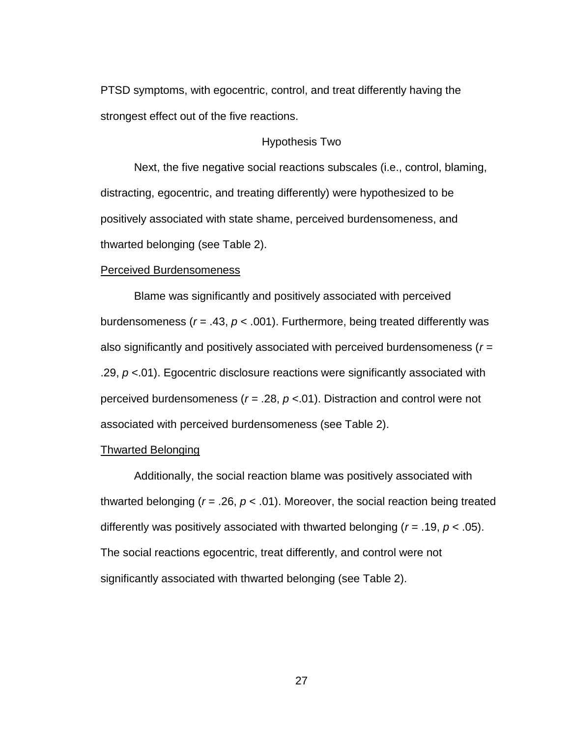PTSD symptoms, with egocentric, control, and treat differently having the strongest effect out of the five reactions.

# Hypothesis Two

<span id="page-34-0"></span>Next, the five negative social reactions subscales (i.e., control, blaming, distracting, egocentric, and treating differently) were hypothesized to be positively associated with state shame, perceived burdensomeness, and thwarted belonging (see Table 2).

## <span id="page-34-1"></span>Perceived Burdensomeness

Blame was significantly and positively associated with perceived burdensomeness (*r* = .43, *p* < .001). Furthermore, being treated differently was also significantly and positively associated with perceived burdensomeness (*r* = .29, *p* <.01). Egocentric disclosure reactions were significantly associated with perceived burdensomeness (*r =* .28, *p* <.01). Distraction and control were not associated with perceived burdensomeness (see Table 2).

### <span id="page-34-2"></span>Thwarted Belonging

Additionally, the social reaction blame was positively associated with thwarted belonging (*r* = .26, *p* < .01). Moreover, the social reaction being treated differently was positively associated with thwarted belonging (*r* = .19, *p* < .05). The social reactions egocentric, treat differently, and control were not significantly associated with thwarted belonging (see Table 2).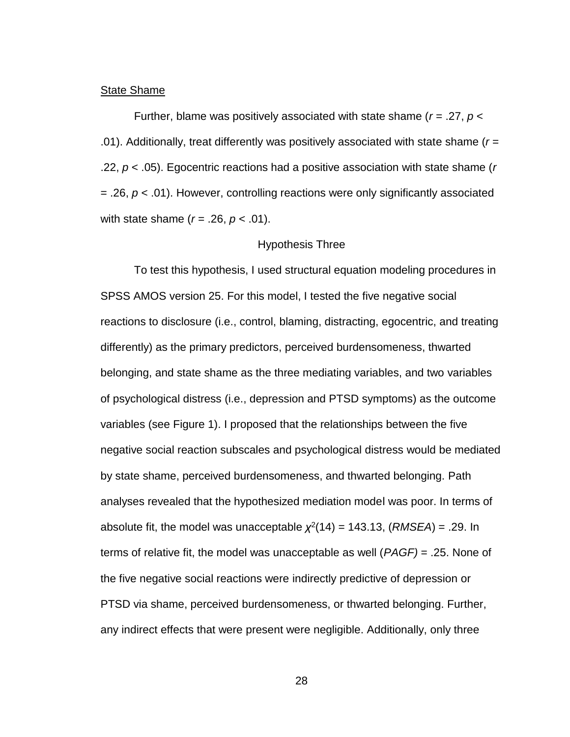### <span id="page-35-0"></span>**State Shame**

Further, blame was positively associated with state shame (*r* = .27, *p* < .01). Additionally, treat differently was positively associated with state shame (*r* = .22, *p* < .05). Egocentric reactions had a positive association with state shame (*r* = .26, *p* < .01). However, controlling reactions were only significantly associated with state shame (*r* = .26, *p* < .01).

# Hypothesis Three

<span id="page-35-1"></span>To test this hypothesis, I used structural equation modeling procedures in SPSS AMOS version 25. For this model, I tested the five negative social reactions to disclosure (i.e., control, blaming, distracting, egocentric, and treating differently) as the primary predictors, perceived burdensomeness, thwarted belonging, and state shame as the three mediating variables, and two variables of psychological distress (i.e., depression and PTSD symptoms) as the outcome variables (see Figure 1). I proposed that the relationships between the five negative social reaction subscales and psychological distress would be mediated by state shame, perceived burdensomeness, and thwarted belonging. Path analyses revealed that the hypothesized mediation model was poor. In terms of absolute fit, the model was unacceptable  $\chi^2(14) = 143.13$ ,  $(RMSEA) = .29$ . In terms of relative fit, the model was unacceptable as well (*PAGF)* = .25. None of the five negative social reactions were indirectly predictive of depression or PTSD via shame, perceived burdensomeness, or thwarted belonging. Further, any indirect effects that were present were negligible. Additionally, only three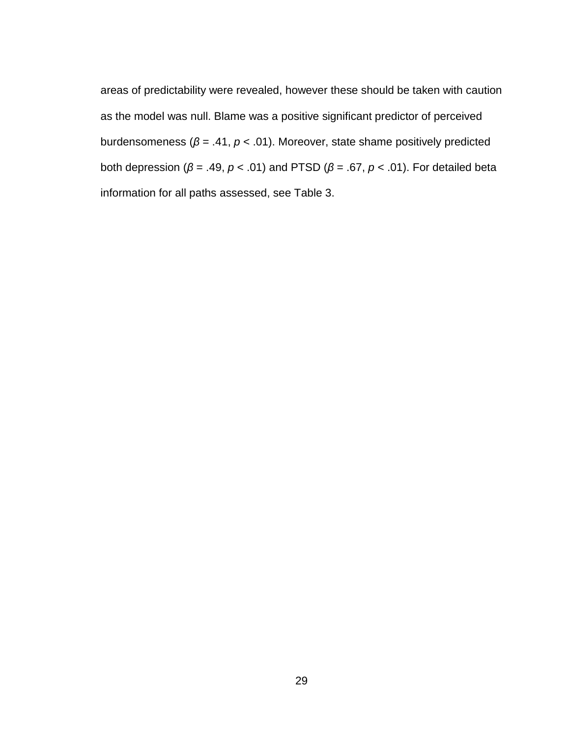areas of predictability were revealed, however these should be taken with caution as the model was null. Blame was a positive significant predictor of perceived burdensomeness (*β* = .41, *p* < .01). Moreover, state shame positively predicted both depression (*β* = .49, *p* < .01) and PTSD (*β* = .67, *p* < .01). For detailed beta information for all paths assessed, see Table 3.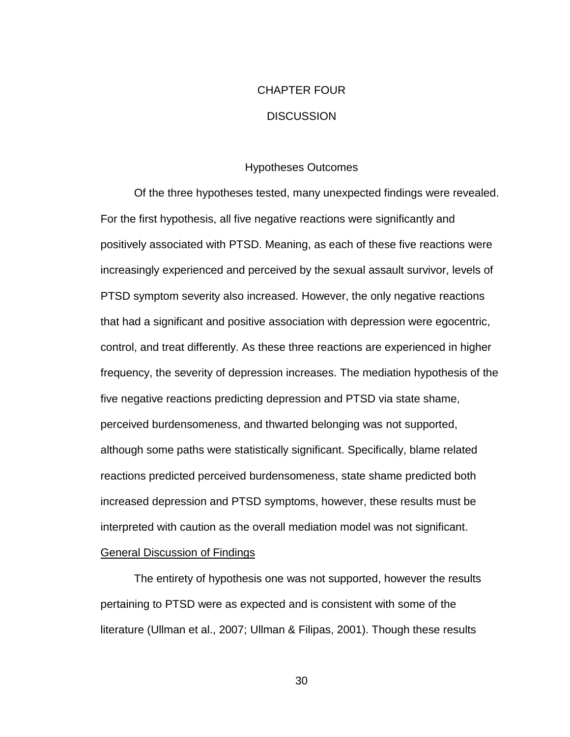# CHAPTER FOUR **DISCUSSION**

# Hypotheses Outcomes

<span id="page-37-1"></span><span id="page-37-0"></span>Of the three hypotheses tested, many unexpected findings were revealed. For the first hypothesis, all five negative reactions were significantly and positively associated with PTSD. Meaning, as each of these five reactions were increasingly experienced and perceived by the sexual assault survivor, levels of PTSD symptom severity also increased. However, the only negative reactions that had a significant and positive association with depression were egocentric, control, and treat differently. As these three reactions are experienced in higher frequency, the severity of depression increases. The mediation hypothesis of the five negative reactions predicting depression and PTSD via state shame, perceived burdensomeness, and thwarted belonging was not supported, although some paths were statistically significant. Specifically, blame related reactions predicted perceived burdensomeness, state shame predicted both increased depression and PTSD symptoms, however, these results must be interpreted with caution as the overall mediation model was not significant.

# <span id="page-37-2"></span>General Discussion of Findings

The entirety of hypothesis one was not supported, however the results pertaining to PTSD were as expected and is consistent with some of the literature (Ullman et al., 2007; Ullman & Filipas, 2001). Though these results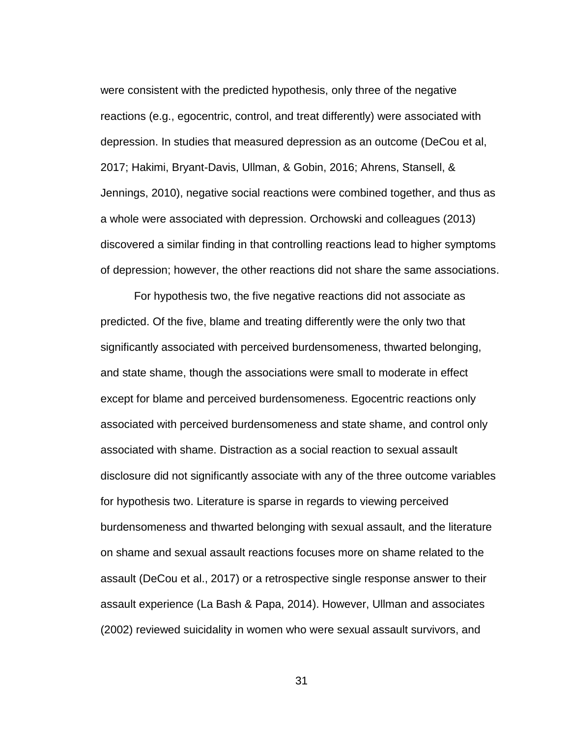were consistent with the predicted hypothesis, only three of the negative reactions (e.g., egocentric, control, and treat differently) were associated with depression. In studies that measured depression as an outcome (DeCou et al, 2017; Hakimi, Bryant-Davis, Ullman, & Gobin, 2016; Ahrens, Stansell, & Jennings, 2010), negative social reactions were combined together, and thus as a whole were associated with depression. Orchowski and colleagues (2013) discovered a similar finding in that controlling reactions lead to higher symptoms of depression; however, the other reactions did not share the same associations.

For hypothesis two, the five negative reactions did not associate as predicted. Of the five, blame and treating differently were the only two that significantly associated with perceived burdensomeness, thwarted belonging, and state shame, though the associations were small to moderate in effect except for blame and perceived burdensomeness. Egocentric reactions only associated with perceived burdensomeness and state shame, and control only associated with shame. Distraction as a social reaction to sexual assault disclosure did not significantly associate with any of the three outcome variables for hypothesis two. Literature is sparse in regards to viewing perceived burdensomeness and thwarted belonging with sexual assault, and the literature on shame and sexual assault reactions focuses more on shame related to the assault (DeCou et al., 2017) or a retrospective single response answer to their assault experience (La Bash & Papa, 2014). However, Ullman and associates (2002) reviewed suicidality in women who were sexual assault survivors, and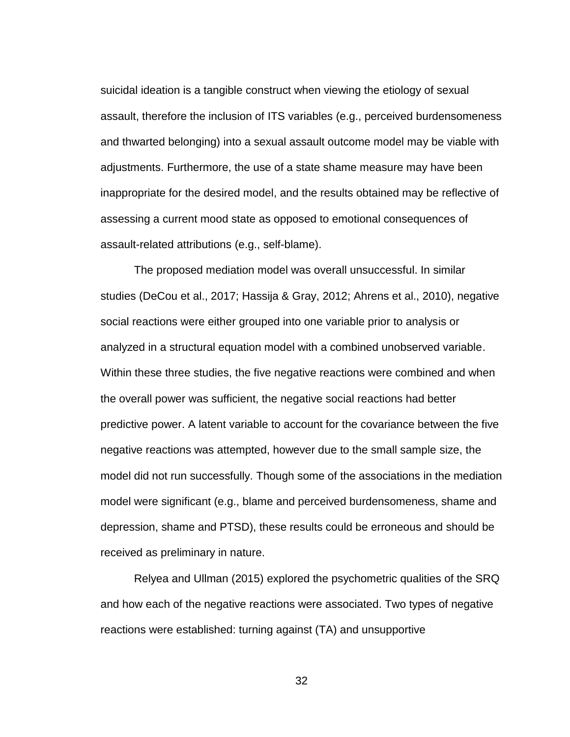suicidal ideation is a tangible construct when viewing the etiology of sexual assault, therefore the inclusion of ITS variables (e.g., perceived burdensomeness and thwarted belonging) into a sexual assault outcome model may be viable with adjustments. Furthermore, the use of a state shame measure may have been inappropriate for the desired model, and the results obtained may be reflective of assessing a current mood state as opposed to emotional consequences of assault-related attributions (e.g., self-blame).

The proposed mediation model was overall unsuccessful. In similar studies (DeCou et al., 2017; Hassija & Gray, 2012; Ahrens et al., 2010), negative social reactions were either grouped into one variable prior to analysis or analyzed in a structural equation model with a combined unobserved variable. Within these three studies, the five negative reactions were combined and when the overall power was sufficient, the negative social reactions had better predictive power. A latent variable to account for the covariance between the five negative reactions was attempted, however due to the small sample size, the model did not run successfully. Though some of the associations in the mediation model were significant (e.g., blame and perceived burdensomeness, shame and depression, shame and PTSD), these results could be erroneous and should be received as preliminary in nature.

Relyea and Ullman (2015) explored the psychometric qualities of the SRQ and how each of the negative reactions were associated. Two types of negative reactions were established: turning against (TA) and unsupportive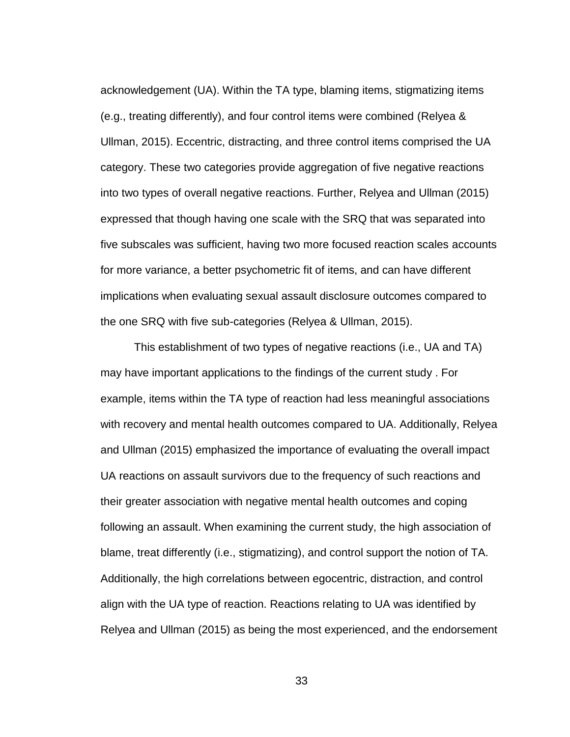acknowledgement (UA). Within the TA type, blaming items, stigmatizing items (e.g., treating differently), and four control items were combined (Relyea & Ullman, 2015). Eccentric, distracting, and three control items comprised the UA category. These two categories provide aggregation of five negative reactions into two types of overall negative reactions. Further, Relyea and Ullman (2015) expressed that though having one scale with the SRQ that was separated into five subscales was sufficient, having two more focused reaction scales accounts for more variance, a better psychometric fit of items, and can have different implications when evaluating sexual assault disclosure outcomes compared to the one SRQ with five sub-categories (Relyea & Ullman, 2015).

This establishment of two types of negative reactions (i.e., UA and TA) may have important applications to the findings of the current study . For example, items within the TA type of reaction had less meaningful associations with recovery and mental health outcomes compared to UA. Additionally, Relyea and Ullman (2015) emphasized the importance of evaluating the overall impact UA reactions on assault survivors due to the frequency of such reactions and their greater association with negative mental health outcomes and coping following an assault. When examining the current study, the high association of blame, treat differently (i.e., stigmatizing), and control support the notion of TA. Additionally, the high correlations between egocentric, distraction, and control align with the UA type of reaction. Reactions relating to UA was identified by Relyea and Ullman (2015) as being the most experienced, and the endorsement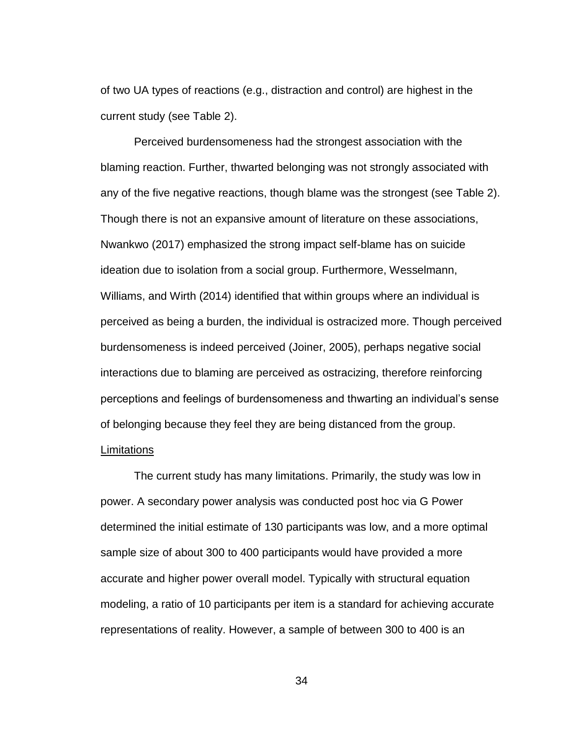of two UA types of reactions (e.g., distraction and control) are highest in the current study (see Table 2).

Perceived burdensomeness had the strongest association with the blaming reaction. Further, thwarted belonging was not strongly associated with any of the five negative reactions, though blame was the strongest (see Table 2). Though there is not an expansive amount of literature on these associations, Nwankwo (2017) emphasized the strong impact self-blame has on suicide ideation due to isolation from a social group. Furthermore, Wesselmann, Williams, and Wirth (2014) identified that within groups where an individual is perceived as being a burden, the individual is ostracized more. Though perceived burdensomeness is indeed perceived (Joiner, 2005), perhaps negative social interactions due to blaming are perceived as ostracizing, therefore reinforcing perceptions and feelings of burdensomeness and thwarting an individual's sense of belonging because they feel they are being distanced from the group. Limitations

<span id="page-41-0"></span>The current study has many limitations. Primarily, the study was low in power. A secondary power analysis was conducted post hoc via G Power determined the initial estimate of 130 participants was low, and a more optimal sample size of about 300 to 400 participants would have provided a more accurate and higher power overall model. Typically with structural equation modeling, a ratio of 10 participants per item is a standard for achieving accurate representations of reality. However, a sample of between 300 to 400 is an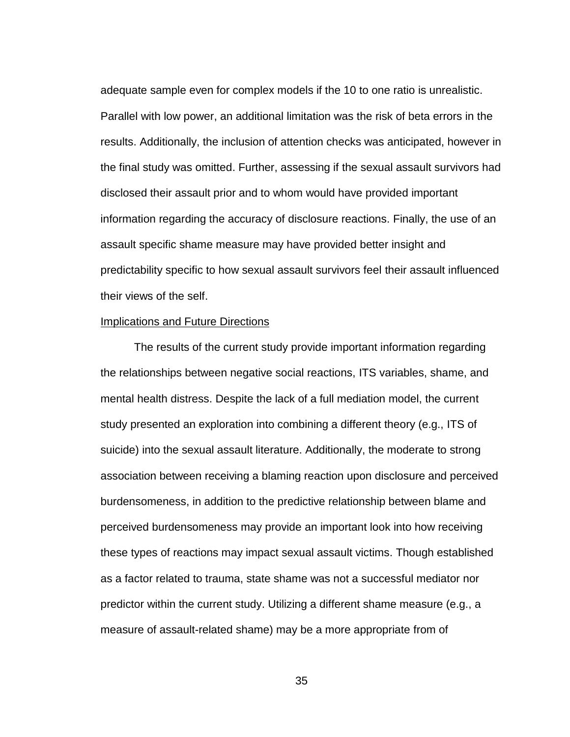adequate sample even for complex models if the 10 to one ratio is unrealistic. Parallel with low power, an additional limitation was the risk of beta errors in the results. Additionally, the inclusion of attention checks was anticipated, however in the final study was omitted. Further, assessing if the sexual assault survivors had disclosed their assault prior and to whom would have provided important information regarding the accuracy of disclosure reactions. Finally, the use of an assault specific shame measure may have provided better insight and predictability specific to how sexual assault survivors feel their assault influenced their views of the self.

# <span id="page-42-0"></span>Implications and Future Directions

The results of the current study provide important information regarding the relationships between negative social reactions, ITS variables, shame, and mental health distress. Despite the lack of a full mediation model, the current study presented an exploration into combining a different theory (e.g., ITS of suicide) into the sexual assault literature. Additionally, the moderate to strong association between receiving a blaming reaction upon disclosure and perceived burdensomeness, in addition to the predictive relationship between blame and perceived burdensomeness may provide an important look into how receiving these types of reactions may impact sexual assault victims. Though established as a factor related to trauma, state shame was not a successful mediator nor predictor within the current study. Utilizing a different shame measure (e.g., a measure of assault-related shame) may be a more appropriate from of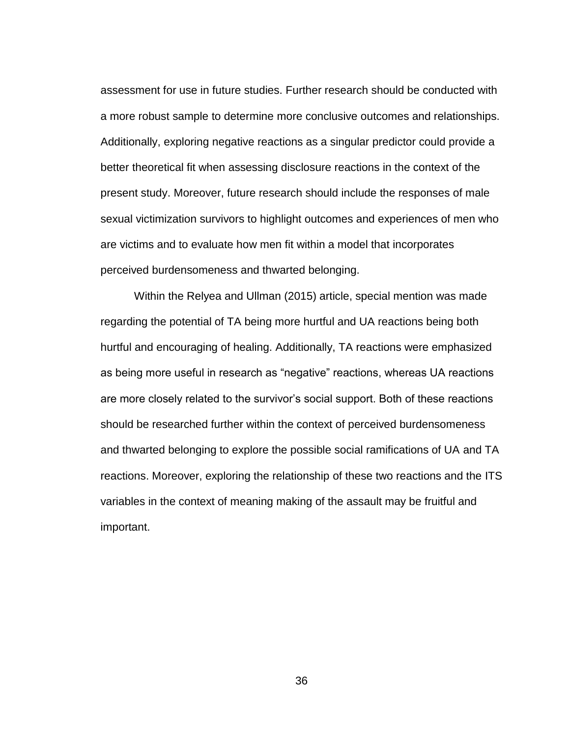assessment for use in future studies. Further research should be conducted with a more robust sample to determine more conclusive outcomes and relationships. Additionally, exploring negative reactions as a singular predictor could provide a better theoretical fit when assessing disclosure reactions in the context of the present study. Moreover, future research should include the responses of male sexual victimization survivors to highlight outcomes and experiences of men who are victims and to evaluate how men fit within a model that incorporates perceived burdensomeness and thwarted belonging.

Within the Relyea and Ullman (2015) article, special mention was made regarding the potential of TA being more hurtful and UA reactions being both hurtful and encouraging of healing. Additionally, TA reactions were emphasized as being more useful in research as "negative" reactions, whereas UA reactions are more closely related to the survivor's social support. Both of these reactions should be researched further within the context of perceived burdensomeness and thwarted belonging to explore the possible social ramifications of UA and TA reactions. Moreover, exploring the relationship of these two reactions and the ITS variables in the context of meaning making of the assault may be fruitful and important.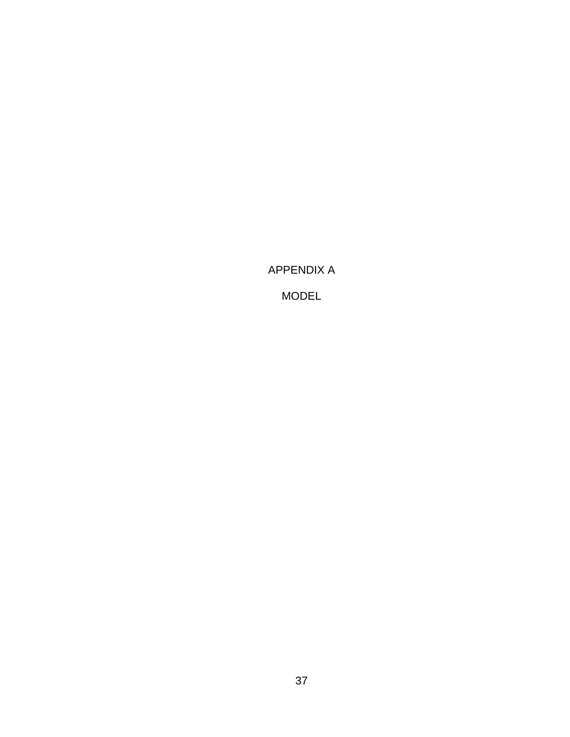<span id="page-44-0"></span>APPENDIX A

MODEL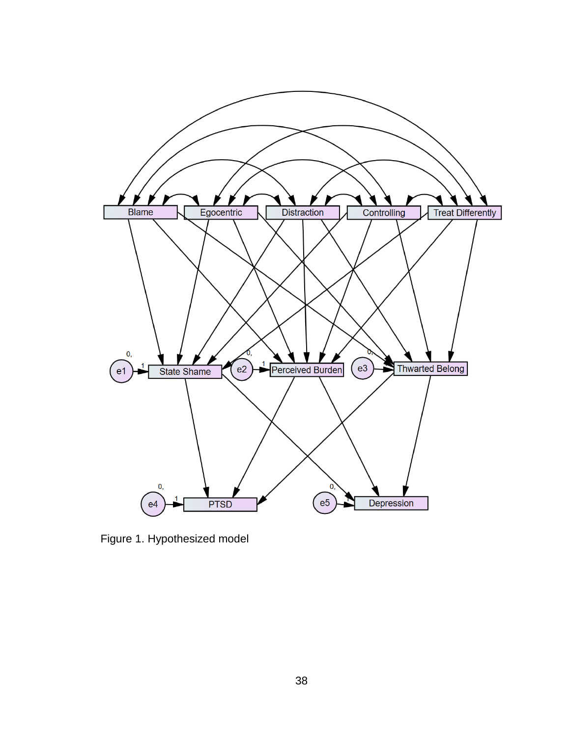

Figure 1. Hypothesized model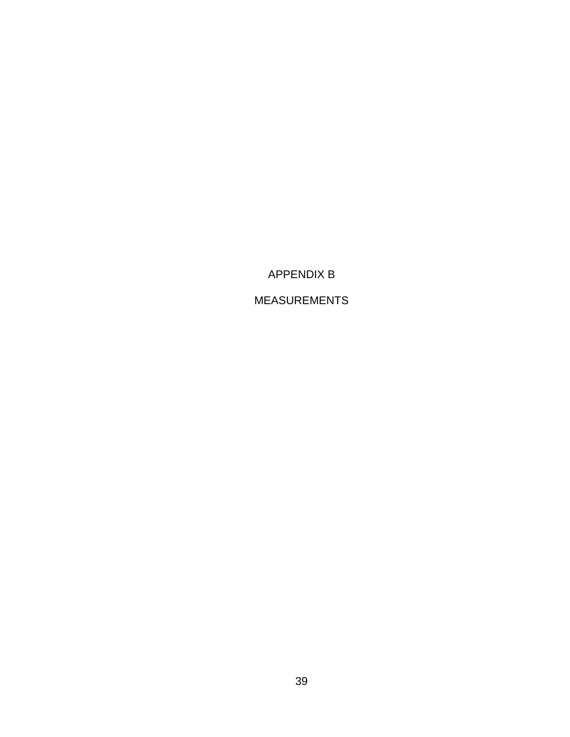APPENDIX B

<span id="page-46-0"></span>MEASUREMENTS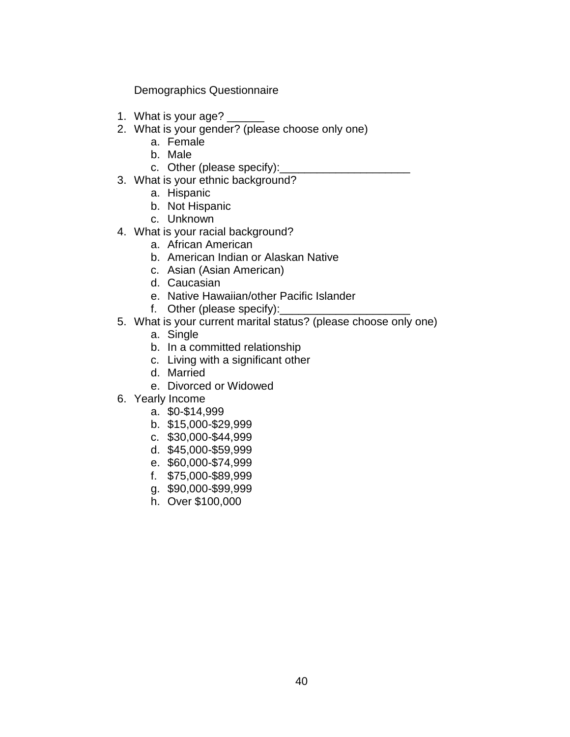Demographics Questionnaire

- 1. What is your age? \_\_\_\_\_\_
- 2. What is your gender? (please choose only one)
	- a. Female
	- b. Male
	- c. Other (please specify):
- 3. What is your ethnic background?
	- a. Hispanic
	- b. Not Hispanic
	- c. Unknown
- 4. What is your racial background?
	- a. African American
	- b. American Indian or Alaskan Native
	- c. Asian (Asian American)
	- d. Caucasian
	- e. Native Hawaiian/other Pacific Islander
	- f. Other (please specify):\_\_\_\_
- 5. What is your current marital status? (please choose only one)
	- a. Single
	- b. In a committed relationship
	- c. Living with a significant other
	- d. Married
	- e. Divorced or Widowed
- 6. Yearly Income
	- a. \$0-\$14,999
	- b. \$15,000-\$29,999
	- c. \$30,000-\$44,999
	- d. \$45,000-\$59,999
	- e. \$60,000-\$74,999
	- f. \$75,000-\$89,999
	- g. \$90,000-\$99,999
	- h. Over \$100,000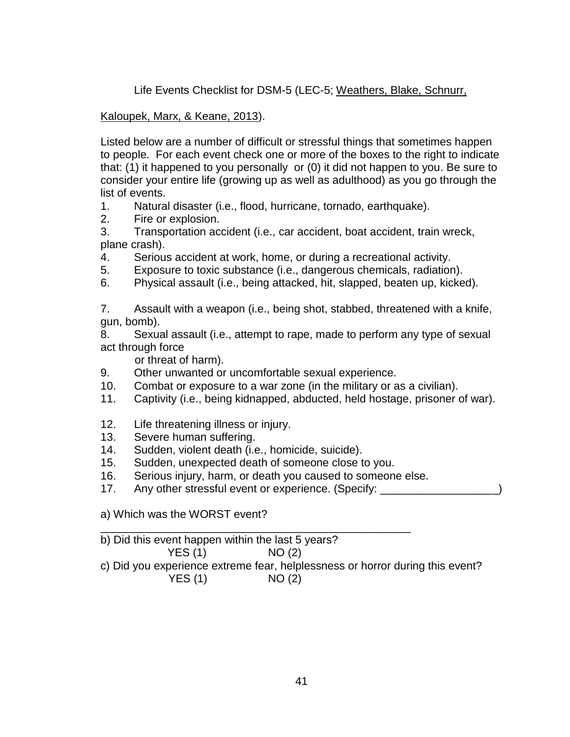Life Events Checklist for DSM-5 (LEC-5; Weathers, Blake, Schnurr,

Kaloupek, Marx, & Keane, 2013).

Listed below are a number of difficult or stressful things that sometimes happen to people. For each event check one or more of the boxes to the right to indicate that: (1) it happened to you personally or (0) it did not happen to you. Be sure to consider your entire life (growing up as well as adulthood) as you go through the list of events.

- 1. Natural disaster (i.e., flood, hurricane, tornado, earthquake).
- 2. Fire or explosion.

3. Transportation accident (i.e., car accident, boat accident, train wreck, plane crash).

- 4. Serious accident at work, home, or during a recreational activity.
- 5. Exposure to toxic substance (i.e., dangerous chemicals, radiation).
- 6. Physical assault (i.e., being attacked, hit, slapped, beaten up, kicked).

7. Assault with a weapon (i.e., being shot, stabbed, threatened with a knife, gun, bomb).

8. Sexual assault (i.e., attempt to rape, made to perform any type of sexual act through force

or threat of harm).

- 9. Other unwanted or uncomfortable sexual experience.
- 10. Combat or exposure to a war zone (in the military or as a civilian).
- 11. Captivity (i.e., being kidnapped, abducted, held hostage, prisoner of war).
- 12. Life threatening illness or injury.
- 13. Severe human suffering.
- 14. Sudden, violent death (i.e., homicide, suicide).
- 15. Sudden, unexpected death of someone close to you.
- 16. Serious injury, harm, or death you caused to someone else.
- 17. Any other stressful event or experience. (Specify: \_\_\_\_\_\_\_\_\_\_\_\_\_\_\_\_\_\_

a) Which was the WORST event?

| b) Did this event happen within the last 5 years?                             |       |  |
|-------------------------------------------------------------------------------|-------|--|
| <b>YES</b> (1)                                                                | NO(2) |  |
| c) Did you experience extreme fear, helplessness or horror during this event? |       |  |
| YES(1)                                                                        | NO(2) |  |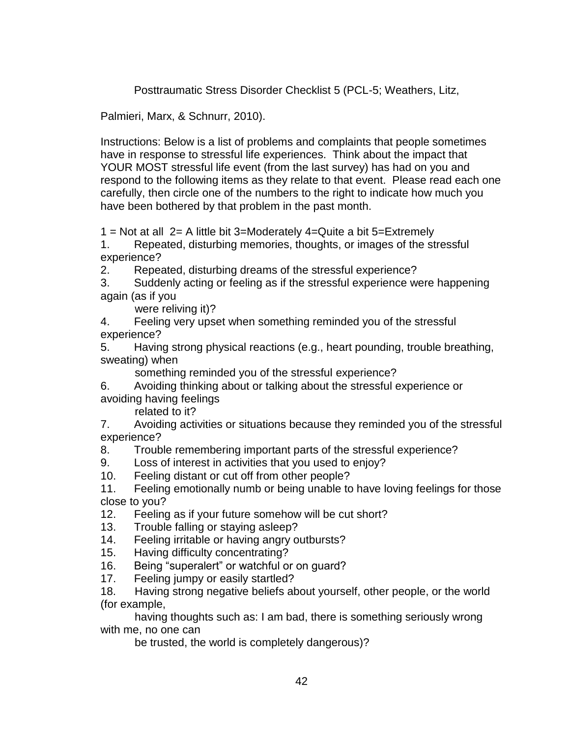Posttraumatic Stress Disorder Checklist 5 (PCL-5; Weathers, Litz,

Palmieri, Marx, & Schnurr, 2010).

Instructions: Below is a list of problems and complaints that people sometimes have in response to stressful life experiences. Think about the impact that YOUR MOST stressful life event (from the last survey) has had on you and respond to the following items as they relate to that event. Please read each one carefully, then circle one of the numbers to the right to indicate how much you have been bothered by that problem in the past month.

1 = Not at all  $2=$  A little bit 3=Moderately 4=Quite a bit 5=Extremely

1. Repeated, disturbing memories, thoughts, or images of the stressful experience?

2. Repeated, disturbing dreams of the stressful experience?

3. Suddenly acting or feeling as if the stressful experience were happening again (as if you

were reliving it)?

4. Feeling very upset when something reminded you of the stressful experience?

5. Having strong physical reactions (e.g., heart pounding, trouble breathing, sweating) when

something reminded you of the stressful experience?

6. Avoiding thinking about or talking about the stressful experience or avoiding having feelings

related to it?

7. Avoiding activities or situations because they reminded you of the stressful experience?

8. Trouble remembering important parts of the stressful experience?

- 9. Loss of interest in activities that you used to enjoy?
- 10. Feeling distant or cut off from other people?

11. Feeling emotionally numb or being unable to have loving feelings for those close to you?

- 12. Feeling as if your future somehow will be cut short?
- 13. Trouble falling or staying asleep?
- 14. Feeling irritable or having angry outbursts?
- 15. Having difficulty concentrating?
- 16. Being "superalert" or watchful or on guard?
- 17. Feeling jumpy or easily startled?

18. Having strong negative beliefs about yourself, other people, or the world (for example,

 having thoughts such as: I am bad, there is something seriously wrong with me, no one can

be trusted, the world is completely dangerous)?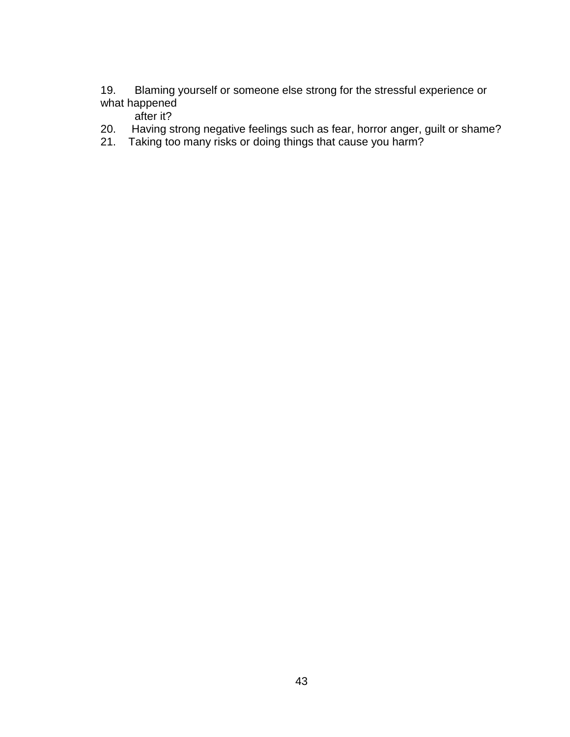- 19. Blaming yourself or someone else strong for the stressful experience or what happened after it?
- 20. Having strong negative feelings such as fear, horror anger, guilt or shame?<br>21. Taking too many risks or doing things that cause you harm?
- Taking too many risks or doing things that cause you harm?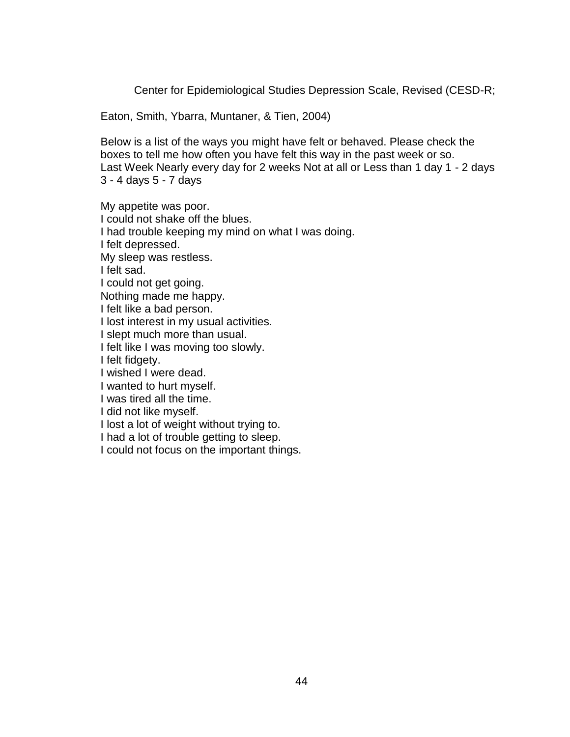Center for Epidemiological Studies Depression Scale, Revised (CESD-R;

Eaton, Smith, Ybarra, Muntaner, & Tien, 2004)

Below is a list of the ways you might have felt or behaved. Please check the boxes to tell me how often you have felt this way in the past week or so. Last Week Nearly every day for 2 weeks Not at all or Less than 1 day 1 - 2 days 3 - 4 days 5 - 7 days

My appetite was poor. I could not shake off the blues. I had trouble keeping my mind on what I was doing. I felt depressed. My sleep was restless. I felt sad. I could not get going. Nothing made me happy. I felt like a bad person. I lost interest in my usual activities. I slept much more than usual. I felt like I was moving too slowly. I felt fidgety. I wished I were dead. I wanted to hurt myself. I was tired all the time. I did not like myself. I lost a lot of weight without trying to. I had a lot of trouble getting to sleep. I could not focus on the important things.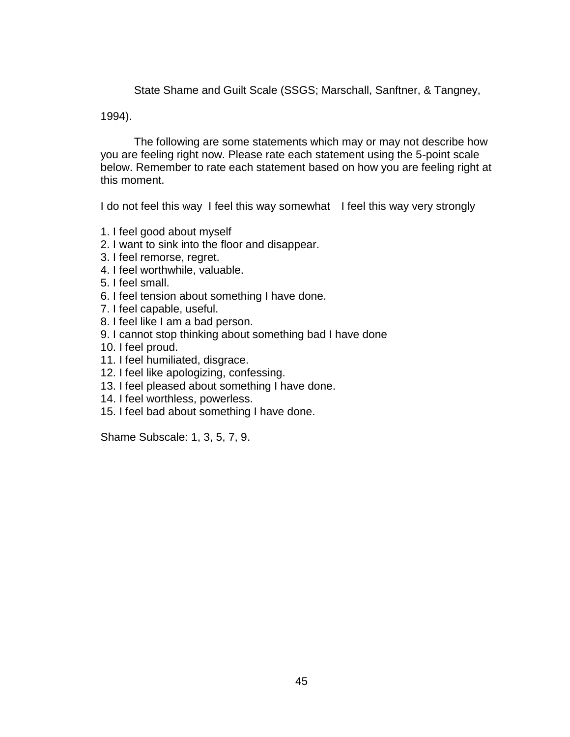State Shame and Guilt Scale (SSGS; Marschall, Sanftner, & Tangney,

1994).

The following are some statements which may or may not describe how you are feeling right now. Please rate each statement using the 5-point scale below. Remember to rate each statement based on how you are feeling right at this moment.

I do not feel this way I feel this way somewhat I feel this way very strongly

- 1. I feel good about myself
- 2. I want to sink into the floor and disappear.
- 3. I feel remorse, regret.
- 4. I feel worthwhile, valuable.
- 5. I feel small.
- 6. I feel tension about something I have done.
- 7. I feel capable, useful.
- 8. I feel like I am a bad person.
- 9. I cannot stop thinking about something bad I have done
- 10. I feel proud.
- 11. I feel humiliated, disgrace.
- 12. I feel like apologizing, confessing.
- 13. I feel pleased about something I have done.
- 14. I feel worthless, powerless.
- 15. I feel bad about something I have done.

Shame Subscale: 1, 3, 5, 7, 9.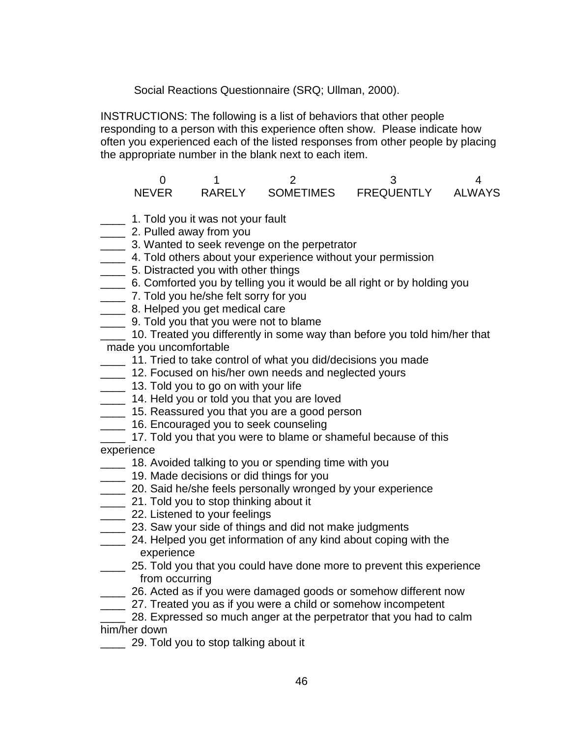Social Reactions Questionnaire (SRQ; Ullman, 2000).

INSTRUCTIONS: The following is a list of behaviors that other people responding to a person with this experience often show. Please indicate how often you experienced each of the listed responses from other people by placing the appropriate number in the blank next to each item.

 $0$  1 2 3 4 NEVER RARELY SOMETIMES FREQUENTLY ALWAYS

- **\_\_\_\_** 1. Told you it was not your fault
- **2.** Pulled away from you
- **10. 20 20 3. Wanted to seek revenge on the perpetrator**
- \_\_\_\_ 4. Told others about your experience without your permission
- \_\_\_\_ 5. Distracted you with other things
- \_\_\_\_ 6. Comforted you by telling you it would be all right or by holding you
- \_\_\_\_ 7. Told you he/she felt sorry for you
- \_\_\_\_ 8. Helped you get medical care
- **120. IDM** 9. Told you that you were not to blame
- 10. Treated you differently in some way than before you told him/her that made you uncomfortable
- \_\_\_\_ 11. Tried to take control of what you did/decisions you made
- **12. Focused on his/her own needs and neglected yours**
- **13. Told you to go on with your life**
- **14. Held you or told you that you are loved**
- **15. Reassured you that you are a good person**
- **\_\_\_\_** 16. Encouraged you to seek counseling
- 17. Told you that you were to blame or shameful because of this experience
- **18. Avoided talking to you or spending time with you**
- **19. Made decisions or did things for you**
- **20.** Said he/she feels personally wronged by your experience
- **21. Told you to stop thinking about it**
- **22.** Listened to your feelings
- **23. Saw your side of things and did not make judgments**
- \_\_\_\_ 24. Helped you get information of any kind about coping with the experience
- **25. Told you that you could have done more to prevent this experience** from occurring
- **26.** Acted as if you were damaged goods or somehow different now
- **27.** Treated you as if you were a child or somehow incompetent

28. Expressed so much anger at the perpetrator that you had to calm him/her down

29. Told you to stop talking about it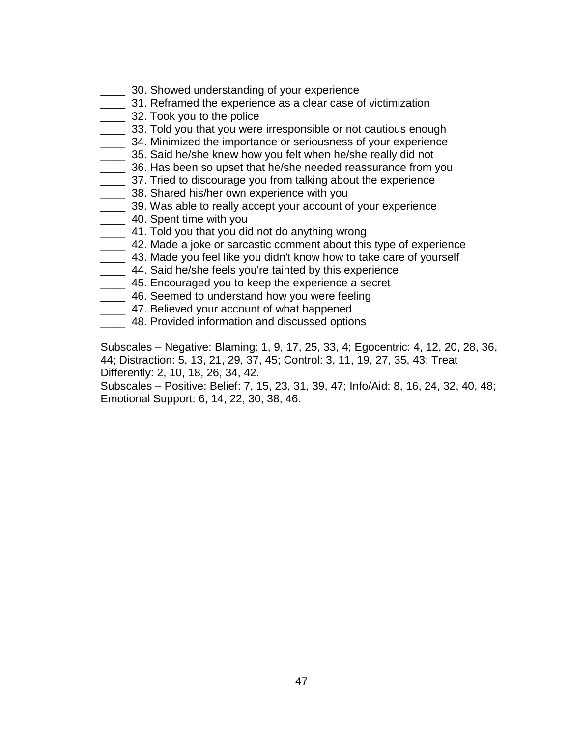- **20. Showed understanding of your experience**
- \_\_\_\_ 31. Reframed the experience as a clear case of victimization
- **20. Took you to the police**
- **2008** 33. Told you that you were irresponsible or not cautious enough
- \_\_\_\_ 34. Minimized the importance or seriousness of your experience
- \_\_\_\_ 35. Said he/she knew how you felt when he/she really did not
- **\_\_\_\_** 36. Has been so upset that he/she needed reassurance from you
- \_\_\_\_ 37. Tried to discourage you from talking about the experience
- \_\_\_\_ 38. Shared his/her own experience with you
- \_\_\_\_ 39. Was able to really accept your account of your experience
- **120.** 40. Spent time with you
- \_\_\_\_ 41. Told you that you did not do anything wrong
- **2. 42. Made a joke or sarcastic comment about this type of experience**
- 43. Made you feel like you didn't know how to take care of yourself
- **144. Said he/she feels you're tainted by this experience**
- **2008** 45. Encouraged you to keep the experience a secret
- **10. Seemed to understand how you were feeling**
- **120 120 120 47. Believed your account of what happened**
- \_\_\_\_ 48. Provided information and discussed options

Subscales – Negative: Blaming: 1, 9, 17, 25, 33, 4; Egocentric: 4, 12, 20, 28, 36, 44; Distraction: 5, 13, 21, 29, 37, 45; Control: 3, 11, 19, 27, 35, 43; Treat Differently: 2, 10, 18, 26, 34, 42.

Subscales – Positive: Belief: 7, 15, 23, 31, 39, 47; Info/Aid: 8, 16, 24, 32, 40, 48; Emotional Support: 6, 14, 22, 30, 38, 46.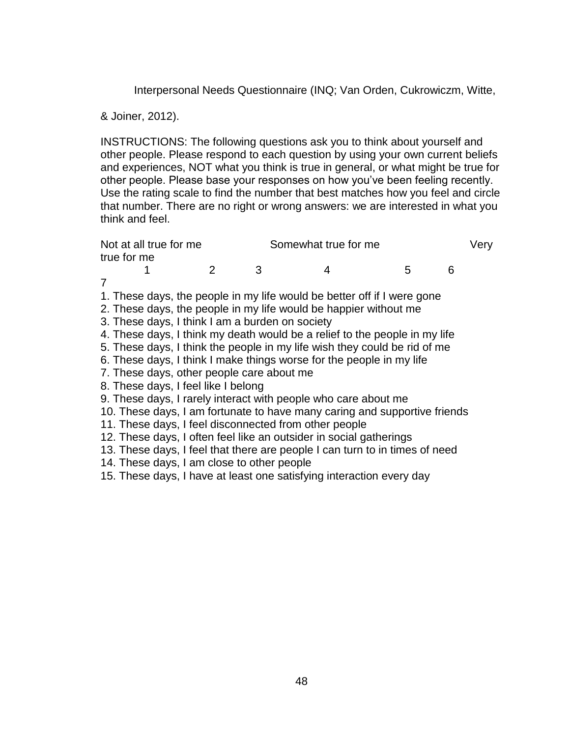Interpersonal Needs Questionnaire (INQ; Van Orden, Cukrowiczm, Witte,

& Joiner, 2012).

INSTRUCTIONS: The following questions ask you to think about yourself and other people. Please respond to each question by using your own current beliefs and experiences, NOT what you think is true in general, or what might be true for other people. Please base your responses on how you've been feeling recently. Use the rating scale to find the number that best matches how you feel and circle that number. There are no right or wrong answers: we are interested in what you think and feel.

| Somewhat true for me<br>Not at all true for me        |   |   |                                                                             |   |   | Verv |
|-------------------------------------------------------|---|---|-----------------------------------------------------------------------------|---|---|------|
| true for me                                           |   |   |                                                                             |   |   |      |
|                                                       | 2 | 3 | 4                                                                           | 5 | 6 |      |
| 7                                                     |   |   |                                                                             |   |   |      |
|                                                       |   |   | 1. These days, the people in my life would be better off if I were gone     |   |   |      |
|                                                       |   |   | 2. These days, the people in my life would be happier without me            |   |   |      |
| 3. These days, I think I am a burden on society       |   |   |                                                                             |   |   |      |
|                                                       |   |   | 4. These days, I think my death would be a relief to the people in my life  |   |   |      |
|                                                       |   |   | 5. These days, I think the people in my life wish they could be rid of me   |   |   |      |
|                                                       |   |   | 6. These days, I think I make things worse for the people in my life        |   |   |      |
| 7. These days, other people care about me             |   |   |                                                                             |   |   |      |
| 8. These days, I feel like I belong                   |   |   |                                                                             |   |   |      |
|                                                       |   |   | 9. These days, I rarely interact with people who care about me              |   |   |      |
|                                                       |   |   | 10. These days, I am fortunate to have many caring and supportive friends   |   |   |      |
| 11. These days, I feel disconnected from other people |   |   |                                                                             |   |   |      |
|                                                       |   |   | 12. These days, I often feel like an outsider in social gatherings          |   |   |      |
|                                                       |   |   | 13. These days, I feel that there are people I can turn to in times of need |   |   |      |
| 14. These days, I am close to other people            |   |   |                                                                             |   |   |      |
|                                                       |   |   | 15. These days, I have at least one satisfying interaction every day        |   |   |      |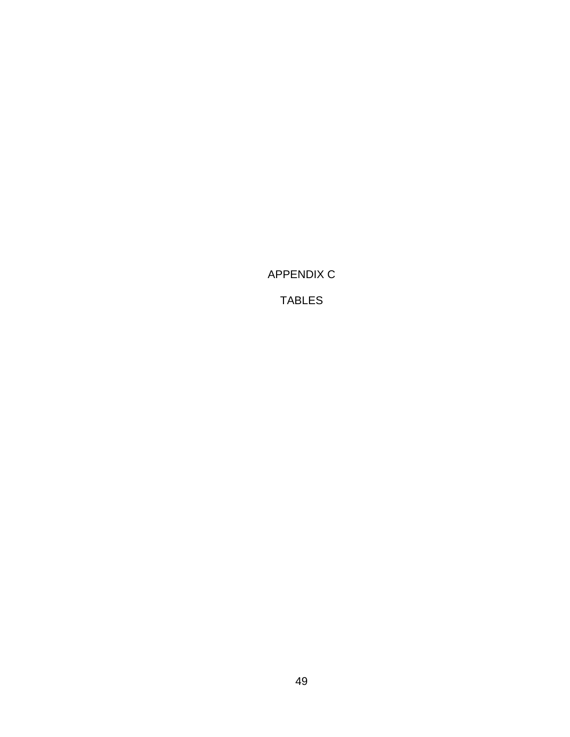<span id="page-56-0"></span>APPENDIX C

TABLES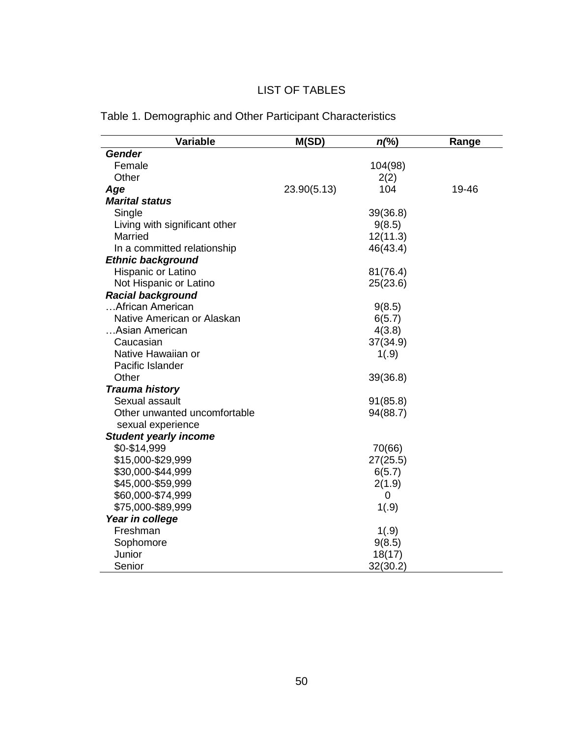# LIST OF TABLES

| Variable                      | M(SD)       | $n\llap{.}^{\circ}\llap{.}^{\circ}$ | Range |
|-------------------------------|-------------|-------------------------------------|-------|
| <b>Gender</b>                 |             |                                     |       |
| Female                        |             | 104(98)                             |       |
| Other                         |             | 2(2)                                |       |
| Age                           | 23.90(5.13) | 104                                 | 19-46 |
| <b>Marital status</b>         |             |                                     |       |
| Single                        |             | 39(36.8)                            |       |
| Living with significant other |             | 9(8.5)                              |       |
| Married                       |             | 12(11.3)                            |       |
| In a committed relationship   |             | 46(43.4)                            |       |
| <b>Ethnic background</b>      |             |                                     |       |
| Hispanic or Latino            |             | 81(76.4)                            |       |
| Not Hispanic or Latino        |             | 25(23.6)                            |       |
| <b>Racial background</b>      |             |                                     |       |
| African American              |             | 9(8.5)                              |       |
| Native American or Alaskan    |             | 6(5.7)                              |       |
| Asian American                |             | 4(3.8)                              |       |
| Caucasian                     |             | 37(34.9)                            |       |
| Native Hawaiian or            |             | 1(.9)                               |       |
| Pacific Islander              |             |                                     |       |
| Other                         |             | 39(36.8)                            |       |
| <b>Trauma history</b>         |             |                                     |       |
| Sexual assault                |             | 91(85.8)                            |       |
| Other unwanted uncomfortable  |             | 94(88.7)                            |       |
| sexual experience             |             |                                     |       |
| <b>Student yearly income</b>  |             |                                     |       |
| \$0-\$14,999                  |             | 70(66)                              |       |
| \$15,000-\$29,999             |             | 27(25.5)                            |       |
| \$30,000-\$44,999             |             | 6(5.7)                              |       |
| \$45,000-\$59,999             |             | 2(1.9)                              |       |
| \$60,000-\$74,999             |             | 0                                   |       |
| \$75,000-\$89,999             |             | 1(.9)                               |       |
| Year in college               |             |                                     |       |
| Freshman                      |             | 1(.9)                               |       |
| Sophomore                     |             | 9(8.5)                              |       |
| Junior                        |             | 18(17)                              |       |
| Senior                        |             | 32(30.2)                            |       |

# Table 1. Demographic and Other Participant Characteristics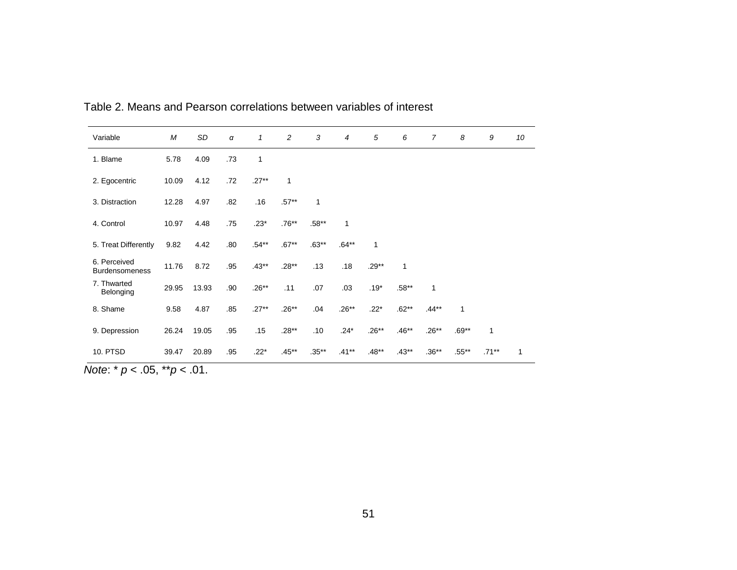| Variable                              | M     | SD    | α   | $\mathcal I$ | 2        | 3        | 4        | 5       | 6            | 7       | 8        | 9            | 10 |
|---------------------------------------|-------|-------|-----|--------------|----------|----------|----------|---------|--------------|---------|----------|--------------|----|
| 1. Blame                              | 5.78  | 4.09  | .73 | 1            |          |          |          |         |              |         |          |              |    |
| 2. Egocentric                         | 10.09 | 4.12  | .72 | $.27**$      | 1        |          |          |         |              |         |          |              |    |
| 3. Distraction                        | 12.28 | 4.97  | .82 | .16          | $.57**$  | 1        |          |         |              |         |          |              |    |
| 4. Control                            | 10.97 | 4.48  | .75 | $.23*$       | $.76**$  | $.58**$  | 1        |         |              |         |          |              |    |
| 5. Treat Differently                  | 9.82  | 4.42  | .80 | $.54**$      | $.67**$  | $.63**$  | $.64**$  | 1       |              |         |          |              |    |
| 6. Perceived<br><b>Burdensomeness</b> | 11.76 | 8.72  | .95 | $.43**$      | $.28**$  | .13      | .18      | $.29**$ | $\mathbf{1}$ |         |          |              |    |
| 7. Thwarted<br>Belonging              | 29.95 | 13.93 | .90 | $.26**$      | .11      | .07      | .03      | $.19*$  | $.58**$      | 1       |          |              |    |
| 8. Shame                              | 9.58  | 4.87  | .85 | $.27**$      | $.26**$  | .04      | $.26**$  | $.22*$  | $.62**$      | $.44**$ | 1        |              |    |
| 9. Depression                         | 26.24 | 19.05 | .95 | .15          | $.28**$  | .10      | $.24*$   | $.26**$ | $.46**$      | $.26**$ | $.69**$  | $\mathbf{1}$ |    |
| 10. PTSD                              | 39.47 | 20.89 | .95 | $.22*$       | $.45***$ | $.35***$ | $.41***$ | $.48**$ | $.43**$      | $.36**$ | $.55***$ | $.71***$     | 1  |

Table 2. Means and Pearson correlations between variables of interest

*Note*: \* *p* < .05, \*\**p* < .01.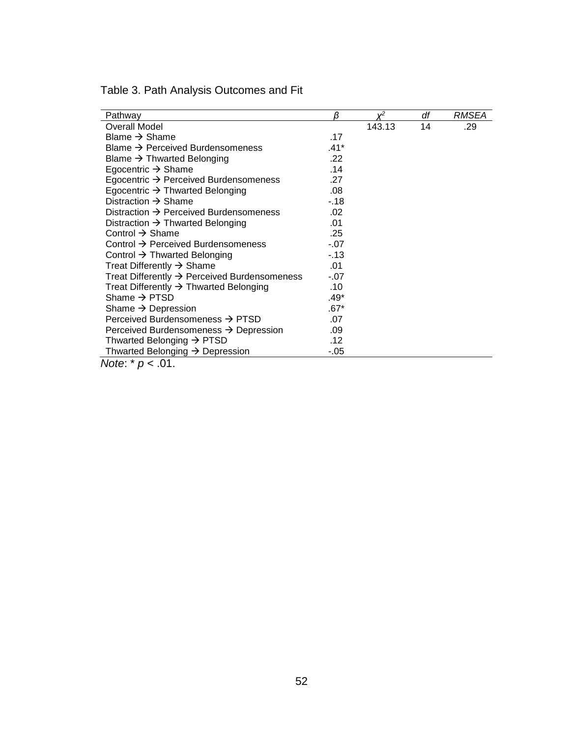| Pathway                                                  | β            | $v^2$  | df | <i>RMSEA</i> |
|----------------------------------------------------------|--------------|--------|----|--------------|
| Overall Model                                            |              | 143.13 | 14 | .29          |
| Blame $\rightarrow$ Shame                                | .17          |        |    |              |
| Blame $\rightarrow$ Perceived Burdensomeness             | .41*         |        |    |              |
| Blame $\rightarrow$ Thwarted Belonging                   | $.22 \times$ |        |    |              |
| Egocentric $\rightarrow$ Shame                           | .14          |        |    |              |
| Egocentric $\rightarrow$ Perceived Burdensomeness        | .27          |        |    |              |
| Egocentric $\rightarrow$ Thwarted Belonging              | .08          |        |    |              |
| Distraction $\rightarrow$ Shame                          | -.18         |        |    |              |
| Distraction $\rightarrow$ Perceived Burdensomeness       | .02          |        |    |              |
| Distraction $\rightarrow$ Thwarted Belonging             | .01          |        |    |              |
| Control $\rightarrow$ Shame                              | .25          |        |    |              |
| Control $\rightarrow$ Perceived Burdensomeness           | $-.07$       |        |    |              |
| Control $\rightarrow$ Thwarted Belonging                 | $-13$        |        |    |              |
| Treat Differently $\rightarrow$ Shame                    | .01          |        |    |              |
| Treat Differently $\rightarrow$ Perceived Burdensomeness | $-.07$       |        |    |              |
| Treat Differently $\rightarrow$ Thwarted Belonging       | .10          |        |    |              |
| Shame $\rightarrow$ PTSD                                 | $.49*$       |        |    |              |
| Shame $\rightarrow$ Depression                           | .67*         |        |    |              |
| Perceived Burdensomeness $\rightarrow$ PTSD              | .07          |        |    |              |
| Perceived Burdensomeness $\rightarrow$ Depression        | .09          |        |    |              |
| Thwarted Belonging $\rightarrow$ PTSD                    | .12          |        |    |              |
| Thwarted Belonging $\rightarrow$ Depression              | -.05         |        |    |              |
| <i>Note</i> : $* p < .01$ .                              |              |        |    |              |

Table 3. Path Analysis Outcomes and Fit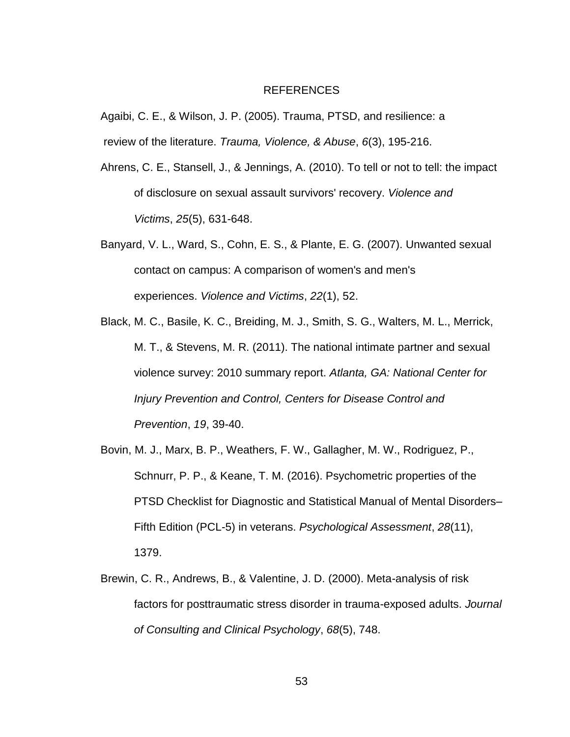#### REFERENCES

<span id="page-60-0"></span>Agaibi, C. E., & Wilson, J. P. (2005). Trauma, PTSD, and resilience: a review of the literature. *Trauma, Violence, & Abuse*, *6*(3), 195-216.

- Ahrens, C. E., Stansell, J., & Jennings, A. (2010). To tell or not to tell: the impact of disclosure on sexual assault survivors' recovery. *Violence and Victims*, *25*(5), 631-648.
- Banyard, V. L., Ward, S., Cohn, E. S., & Plante, E. G. (2007). Unwanted sexual contact on campus: A comparison of women's and men's experiences. *Violence and Victims*, *22*(1), 52.
- Black, M. C., Basile, K. C., Breiding, M. J., Smith, S. G., Walters, M. L., Merrick, M. T., & Stevens, M. R. (2011). The national intimate partner and sexual violence survey: 2010 summary report. *Atlanta, GA: National Center for Injury Prevention and Control, Centers for Disease Control and Prevention*, *19*, 39-40.
- Bovin, M. J., Marx, B. P., Weathers, F. W., Gallagher, M. W., Rodriguez, P., Schnurr, P. P., & Keane, T. M. (2016). Psychometric properties of the PTSD Checklist for Diagnostic and Statistical Manual of Mental Disorders– Fifth Edition (PCL-5) in veterans. *Psychological Assessment*, *28*(11), 1379.
- Brewin, C. R., Andrews, B., & Valentine, J. D. (2000). Meta-analysis of risk factors for posttraumatic stress disorder in trauma-exposed adults. *Journal of Consulting and Clinical Psychology*, *68*(5), 748.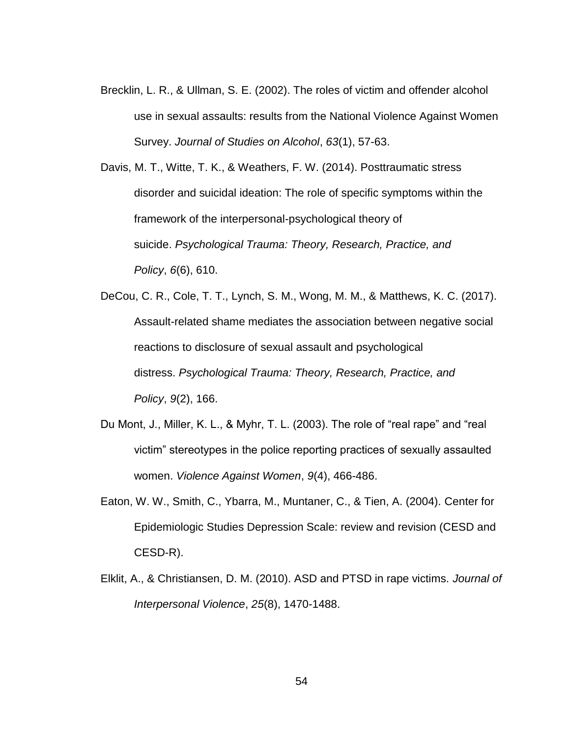Brecklin, L. R., & Ullman, S. E. (2002). The roles of victim and offender alcohol use in sexual assaults: results from the National Violence Against Women Survey. *Journal of Studies on Alcohol*, *63*(1), 57-63.

Davis, M. T., Witte, T. K., & Weathers, F. W. (2014). Posttraumatic stress disorder and suicidal ideation: The role of specific symptoms within the framework of the interpersonal-psychological theory of suicide. *Psychological Trauma: Theory, Research, Practice, and Policy*, *6*(6), 610.

- DeCou, C. R., Cole, T. T., Lynch, S. M., Wong, M. M., & Matthews, K. C. (2017). Assault-related shame mediates the association between negative social reactions to disclosure of sexual assault and psychological distress. *Psychological Trauma: Theory, Research, Practice, and Policy*, *9*(2), 166.
- Du Mont, J., Miller, K. L., & Myhr, T. L. (2003). The role of "real rape" and "real victim" stereotypes in the police reporting practices of sexually assaulted women. *Violence Against Women*, *9*(4), 466-486.
- Eaton, W. W., Smith, C., Ybarra, M., Muntaner, C., & Tien, A. (2004). Center for Epidemiologic Studies Depression Scale: review and revision (CESD and CESD-R).
- Elklit, A., & Christiansen, D. M. (2010). ASD and PTSD in rape victims. *Journal of Interpersonal Violence*, *25*(8), 1470-1488.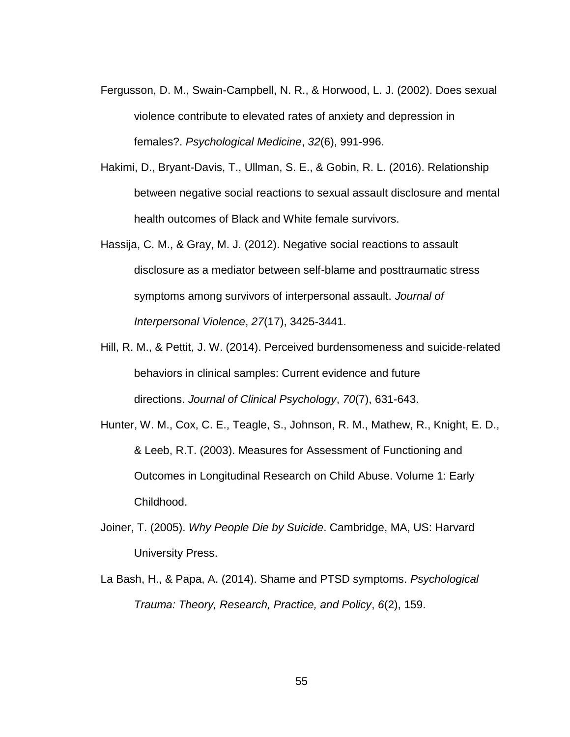- Fergusson, D. M., Swain-Campbell, N. R., & Horwood, L. J. (2002). Does sexual violence contribute to elevated rates of anxiety and depression in females?. *Psychological Medicine*, *32*(6), 991-996.
- Hakimi, D., Bryant-Davis, T., Ullman, S. E., & Gobin, R. L. (2016). Relationship between negative social reactions to sexual assault disclosure and mental health outcomes of Black and White female survivors.
- Hassija, C. M., & Gray, M. J. (2012). Negative social reactions to assault disclosure as a mediator between self-blame and posttraumatic stress symptoms among survivors of interpersonal assault. *Journal of Interpersonal Violence*, *27*(17), 3425-3441.
- Hill, R. M., & Pettit, J. W. (2014). Perceived burdensomeness and suicide‐related behaviors in clinical samples: Current evidence and future directions. *Journal of Clinical Psychology*, *70*(7), 631-643.
- Hunter, W. M., Cox, C. E., Teagle, S., Johnson, R. M., Mathew, R., Knight, E. D., & Leeb, R.T. (2003). Measures for Assessment of Functioning and Outcomes in Longitudinal Research on Child Abuse. Volume 1: Early Childhood.
- Joiner, T. (2005). *Why People Die by Suicide*. Cambridge, MA, US: Harvard University Press.
- La Bash, H., & Papa, A. (2014). Shame and PTSD symptoms. *Psychological Trauma: Theory, Research, Practice, and Policy*, *6*(2), 159.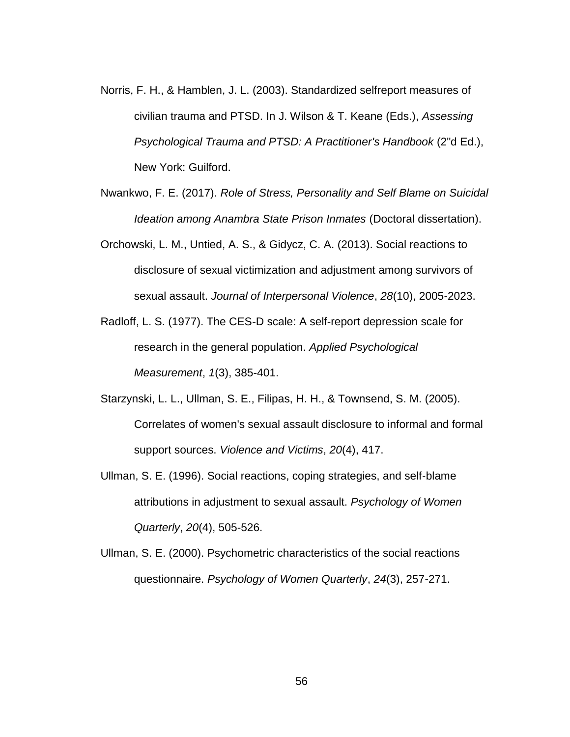- Norris, F. H., & Hamblen, J. L. (2003). Standardized selfreport measures of civilian trauma and PTSD. In J. Wilson & T. Keane (Eds.), *Assessing Psychological Trauma and PTSD: A Practitioner's Handbook* (2"d Ed.), New York: Guilford.
- Nwankwo, F. E. (2017). *Role of Stress, Personality and Self Blame on Suicidal Ideation among Anambra State Prison Inmates* (Doctoral dissertation).
- Orchowski, L. M., Untied, A. S., & Gidycz, C. A. (2013). Social reactions to disclosure of sexual victimization and adjustment among survivors of sexual assault. *Journal of Interpersonal Violence*, *28*(10), 2005-2023.
- Radloff, L. S. (1977). The CES-D scale: A self-report depression scale for research in the general population. *Applied Psychological Measurement*, *1*(3), 385-401.
- Starzynski, L. L., Ullman, S. E., Filipas, H. H., & Townsend, S. M. (2005). Correlates of women's sexual assault disclosure to informal and formal support sources. *Violence and Victims*, *20*(4), 417.
- Ullman, S. E. (1996). Social reactions, coping strategies, and self‐blame attributions in adjustment to sexual assault. *Psychology of Women Quarterly*, *20*(4), 505-526.
- Ullman, S. E. (2000). Psychometric characteristics of the social reactions questionnaire. *Psychology of Women Quarterly*, *24*(3), 257-271.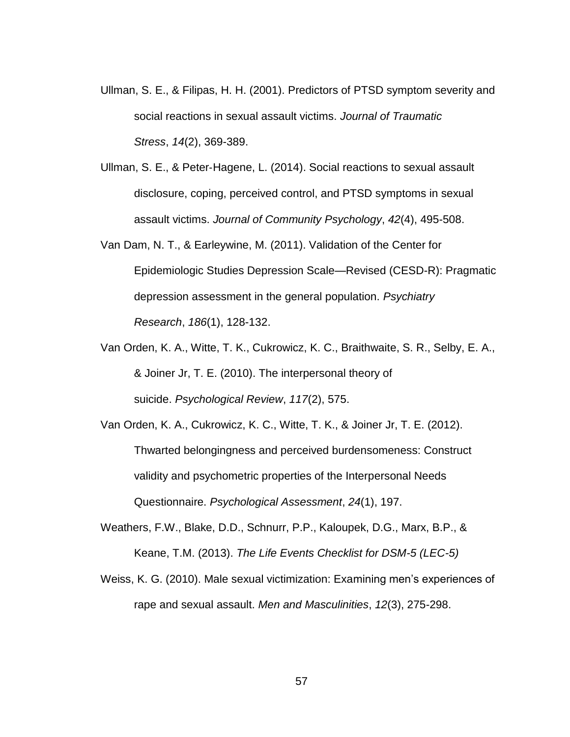- Ullman, S. E., & Filipas, H. H. (2001). Predictors of PTSD symptom severity and social reactions in sexual assault victims. *Journal of Traumatic Stress*, *14*(2), 369-389.
- Ullman, S. E., & Peter‐Hagene, L. (2014). Social reactions to sexual assault disclosure, coping, perceived control, and PTSD symptoms in sexual assault victims. *Journal of Community Psychology*, *42*(4), 495-508.
- Van Dam, N. T., & Earleywine, M. (2011). Validation of the Center for Epidemiologic Studies Depression Scale—Revised (CESD-R): Pragmatic depression assessment in the general population. *Psychiatry Research*, *186*(1), 128-132.
- Van Orden, K. A., Witte, T. K., Cukrowicz, K. C., Braithwaite, S. R., Selby, E. A., & Joiner Jr, T. E. (2010). The interpersonal theory of suicide. *Psychological Review*, *117*(2), 575.
- Van Orden, K. A., Cukrowicz, K. C., Witte, T. K., & Joiner Jr, T. E. (2012). Thwarted belongingness and perceived burdensomeness: Construct validity and psychometric properties of the Interpersonal Needs Questionnaire. *Psychological Assessment*, *24*(1), 197.
- Weathers, F.W., Blake, D.D., Schnurr, P.P., Kaloupek, D.G., Marx, B.P., & Keane, T.M. (2013). *The Life Events Checklist for DSM-5 (LEC-5)*
- Weiss, K. G. (2010). Male sexual victimization: Examining men's experiences of rape and sexual assault. *Men and Masculinities*, *12*(3), 275-298.